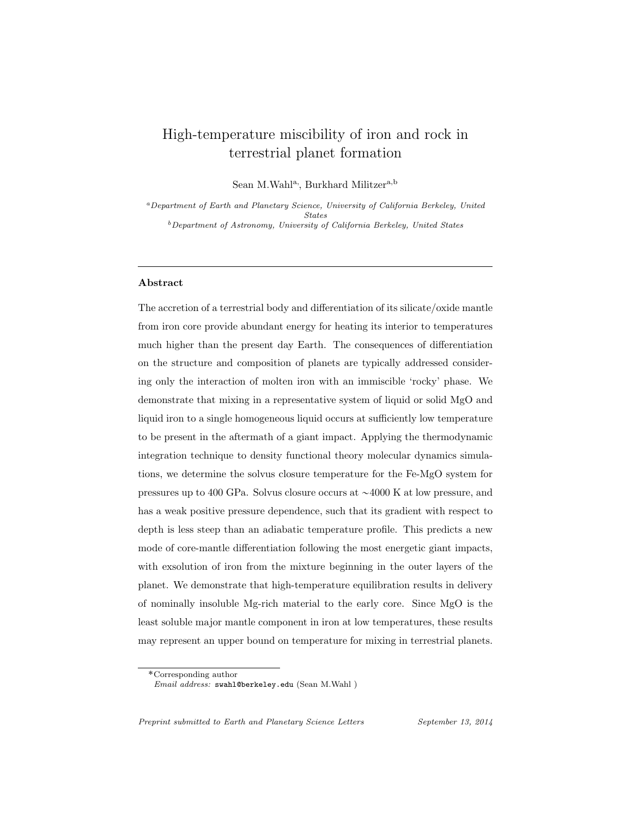# High-temperature miscibility of iron and rock in terrestrial planet formation

Sean M.Wahl<sup>a</sup>, Burkhard Militzer<sup>a,b</sup>

<sup>a</sup>Department of Earth and Planetary Science, University of California Berkeley, United States  $b$ Department of Astronomy, University of California Berkeley, United States

### Abstract

The accretion of a terrestrial body and differentiation of its silicate/oxide mantle from iron core provide abundant energy for heating its interior to temperatures much higher than the present day Earth. The consequences of differentiation on the structure and composition of planets are typically addressed considering only the interaction of molten iron with an immiscible 'rocky' phase. We demonstrate that mixing in a representative system of liquid or solid MgO and liquid iron to a single homogeneous liquid occurs at sufficiently low temperature to be present in the aftermath of a giant impact. Applying the thermodynamic integration technique to density functional theory molecular dynamics simulations, we determine the solvus closure temperature for the Fe-MgO system for pressures up to 400 GPa. Solvus closure occurs at  $\sim$ 4000 K at low pressure, and has a weak positive pressure dependence, such that its gradient with respect to depth is less steep than an adiabatic temperature profile. This predicts a new mode of core-mantle differentiation following the most energetic giant impacts, with exsolution of iron from the mixture beginning in the outer layers of the planet. We demonstrate that high-temperature equilibration results in delivery of nominally insoluble Mg-rich material to the early core. Since MgO is the least soluble major mantle component in iron at low temperatures, these results may represent an upper bound on temperature for mixing in terrestrial planets.

Preprint submitted to Earth and Planetary Science Letters September 13, 2014

<sup>˚</sup>Corresponding author

Email address: swahl@berkeley.edu (Sean M.Wahl )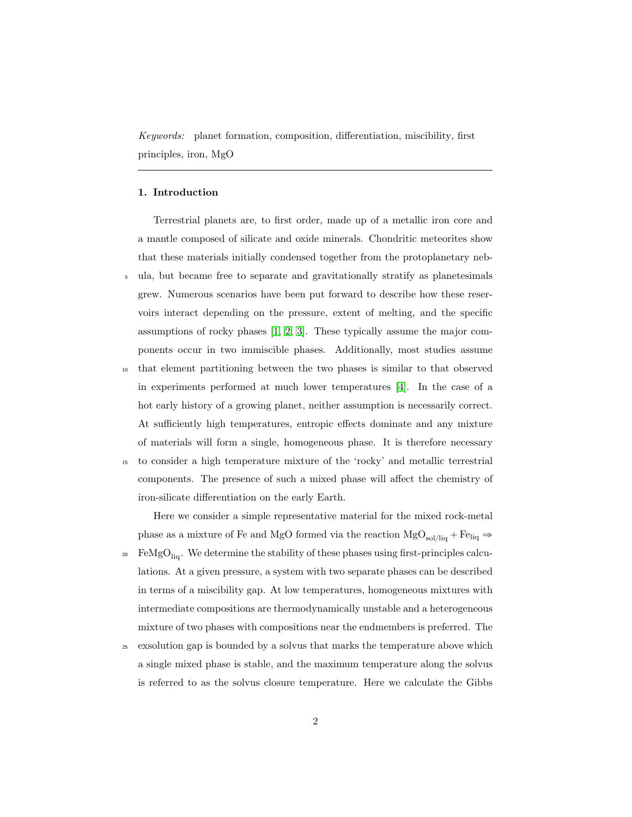Keywords: planet formation, composition, differentiation, miscibility, first principles, iron, MgO

## 1. Introduction

Terrestrial planets are, to first order, made up of a metallic iron core and a mantle composed of silicate and oxide minerals. Chondritic meteorites show that these materials initially condensed together from the protoplanetary neb-<sup>5</sup> ula, but became free to separate and gravitationally stratify as planetesimals grew. Numerous scenarios have been put forward to describe how these reservoirs interact depending on the pressure, extent of melting, and the specific assumptions of rocky phases [\[1,](#page-15-0) [2,](#page-15-1) [3\]](#page-15-2). These typically assume the major components occur in two immiscible phases. Additionally, most studies assume

<sup>10</sup> that element partitioning between the two phases is similar to that observed in experiments performed at much lower temperatures [\[4\]](#page-15-3). In the case of a hot early history of a growing planet, neither assumption is necessarily correct. At sufficiently high temperatures, entropic effects dominate and any mixture of materials will form a single, homogeneous phase. It is therefore necessary

<sup>15</sup> to consider a high temperature mixture of the 'rocky' and metallic terrestrial components. The presence of such a mixed phase will affect the chemistry of iron-silicate differentiation on the early Earth.

Here we consider a simple representative material for the mixed rock-metal phase as a mixture of Fe and MgO formed via the reaction  $MgO_{sol/liq} + Fe_{liq} \Rightarrow$ 

- FeMgO<sub>liq</sub>. We determine the stability of these phases using first-principles calculations. At a given pressure, a system with two separate phases can be described in terms of a miscibility gap. At low temperatures, homogeneous mixtures with intermediate compositions are thermodynamically unstable and a heterogeneous mixture of two phases with compositions near the endmembers is preferred. The
- <sup>25</sup> exsolution gap is bounded by a solvus that marks the temperature above which a single mixed phase is stable, and the maximum temperature along the solvus is referred to as the solvus closure temperature. Here we calculate the Gibbs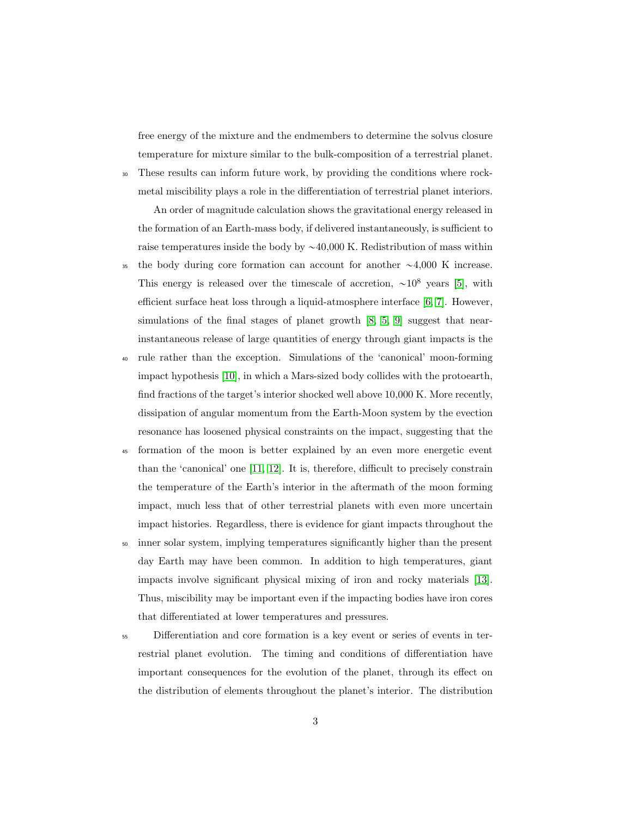free energy of the mixture and the endmembers to determine the solvus closure temperature for mixture similar to the bulk-composition of a terrestrial planet.

<sup>30</sup> These results can inform future work, by providing the conditions where rockmetal miscibility plays a role in the differentiation of terrestrial planet interiors.

An order of magnitude calculation shows the gravitational energy released in the formation of an Earth-mass body, if delivered instantaneously, is sufficient to raise temperatures inside the body by  $\sim$ 40,000 K. Redistribution of mass within

- <sup>35</sup> the body during core formation can account for another  $\sim$ 4,000 K increase. This energy is released over the timescale of accretion,  $\sim 10^8$  years [\[5\]](#page-15-4), with efficient surface heat loss through a liquid-atmosphere interface [\[6,](#page-15-5) [7\]](#page-15-6). However, simulations of the final stages of planet growth [\[8,](#page-16-0) [5,](#page-15-4) [9\]](#page-16-1) suggest that nearinstantaneous release of large quantities of energy through giant impacts is the
- rule rather than the exception. Simulations of the 'canonical' moon-forming impact hypothesis [\[10\]](#page-16-2), in which a Mars-sized body collides with the protoearth, find fractions of the target's interior shocked well above 10,000 K. More recently, dissipation of angular momentum from the Earth-Moon system by the evection resonance has loosened physical constraints on the impact, suggesting that the
- <sup>45</sup> formation of the moon is better explained by an even more energetic event than the 'canonical' one [\[11,](#page-16-3) [12\]](#page-16-4). It is, therefore, difficult to precisely constrain the temperature of the Earth's interior in the aftermath of the moon forming impact, much less that of other terrestrial planets with even more uncertain impact histories. Regardless, there is evidence for giant impacts throughout the
- <sup>50</sup> inner solar system, implying temperatures significantly higher than the present day Earth may have been common. In addition to high temperatures, giant impacts involve significant physical mixing of iron and rocky materials [\[13\]](#page-16-5). Thus, miscibility may be important even if the impacting bodies have iron cores that differentiated at lower temperatures and pressures.
- <sup>55</sup> Differentiation and core formation is a key event or series of events in terrestrial planet evolution. The timing and conditions of differentiation have important consequences for the evolution of the planet, through its effect on the distribution of elements throughout the planet's interior. The distribution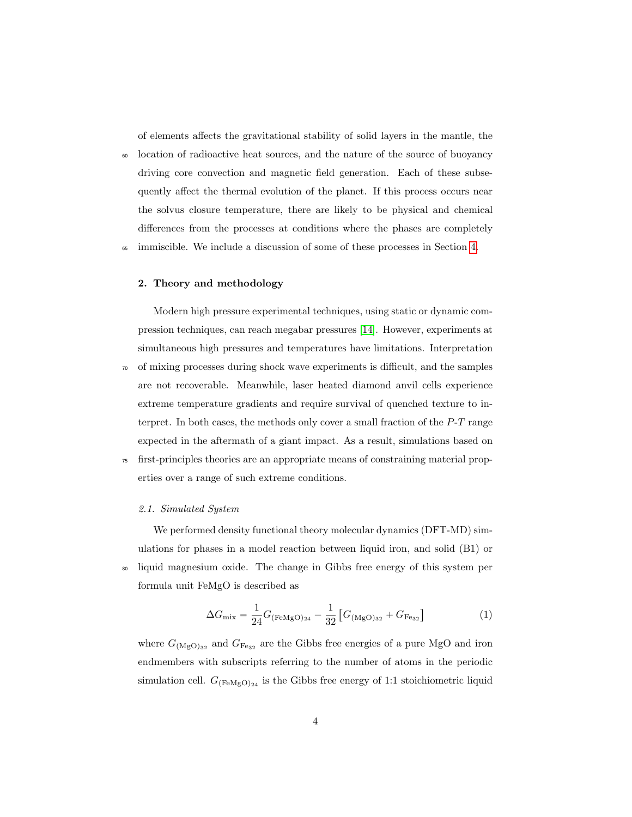of elements affects the gravitational stability of solid layers in the mantle, the

<sup>60</sup> location of radioactive heat sources, and the nature of the source of buoyancy driving core convection and magnetic field generation. Each of these subsequently affect the thermal evolution of the planet. If this process occurs near the solvus closure temperature, there are likely to be physical and chemical differences from the processes at conditions where the phases are completely

<sup>65</sup> immiscible. We include a discussion of some of these processes in Section [4.](#page-10-0)

# 2. Theory and methodology

Modern high pressure experimental techniques, using static or dynamic compression techniques, can reach megabar pressures [\[14\]](#page-17-0). However, experiments at simultaneous high pressures and temperatures have limitations. Interpretation

- <sup>70</sup> of mixing processes during shock wave experiments is difficult, and the samples are not recoverable. Meanwhile, laser heated diamond anvil cells experience extreme temperature gradients and require survival of quenched texture to interpret. In both cases, the methods only cover a small fraction of the P-T range expected in the aftermath of a giant impact. As a result, simulations based on
- <sup>75</sup> first-principles theories are an appropriate means of constraining material properties over a range of such extreme conditions.

#### 2.1. Simulated System

We performed density functional theory molecular dynamics (DFT-MD) simulations for phases in a model reaction between liquid iron, and solid (B1) or <sup>80</sup> liquid magnesium oxide. The change in Gibbs free energy of this system per formula unit FeMgO is described as

<span id="page-3-0"></span>
$$
\Delta G_{\text{mix}} = \frac{1}{24} G_{\text{(FeMgO)}_{24}} - \frac{1}{32} \left[ G_{\text{(MgO)}_{32}} + G_{\text{Fe}_{32}} \right] \tag{1}
$$

where  $G_{(\text{MgO})_{32}}$  and  $G_{\text{Fe}_{32}}$  are the Gibbs free energies of a pure MgO and iron endmembers with subscripts referring to the number of atoms in the periodic simulation cell.  $G_{\text{FeMgO}_{24}}$  is the Gibbs free energy of 1:1 stoichiometric liquid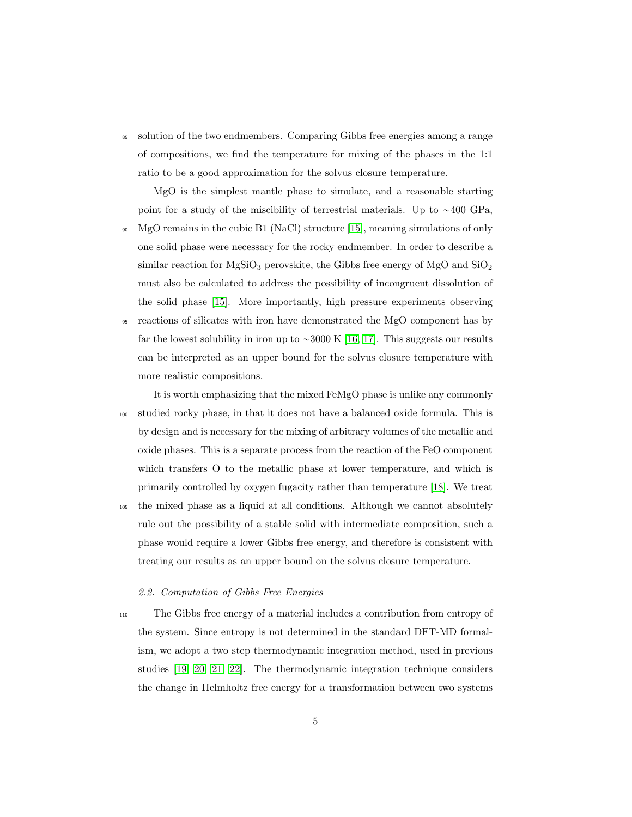<sup>85</sup> solution of the two endmembers. Comparing Gibbs free energies among a range of compositions, we find the temperature for mixing of the phases in the 1:1 ratio to be a good approximation for the solvus closure temperature.

MgO is the simplest mantle phase to simulate, and a reasonable starting point for a study of the miscibility of terrestrial materials. Up to  $\sim$ 400 GPa,

- <sup>90</sup> MgO remains in the cubic B1 (NaCl) structure [\[15\]](#page-17-1), meaning simulations of only one solid phase were necessary for the rocky endmember. In order to describe a similar reaction for  $MgSiO_3$  perovskite, the Gibbs free energy of  $MgO$  and  $SiO_2$ must also be calculated to address the possibility of incongruent dissolution of the solid phase [\[15\]](#page-17-1). More importantly, high pressure experiments observing
- <sup>95</sup> reactions of silicates with iron have demonstrated the MgO component has by far the lowest solubility in iron up to  $\sim$ 3000 K [\[16,](#page-17-2) [17\]](#page-17-3). This suggests our results can be interpreted as an upper bound for the solvus closure temperature with more realistic compositions.

It is worth emphasizing that the mixed FeMgO phase is unlike any commonly <sup>100</sup> studied rocky phase, in that it does not have a balanced oxide formula. This is by design and is necessary for the mixing of arbitrary volumes of the metallic and oxide phases. This is a separate process from the reaction of the FeO component which transfers O to the metallic phase at lower temperature, and which is primarily controlled by oxygen fugacity rather than temperature [\[18\]](#page-17-4). We treat

<sup>105</sup> the mixed phase as a liquid at all conditions. Although we cannot absolutely rule out the possibility of a stable solid with intermediate composition, such a phase would require a lower Gibbs free energy, and therefore is consistent with treating our results as an upper bound on the solvus closure temperature.

## 2.2. Computation of Gibbs Free Energies

<sup>110</sup> The Gibbs free energy of a material includes a contribution from entropy of the system. Since entropy is not determined in the standard DFT-MD formalism, we adopt a two step thermodynamic integration method, used in previous studies [\[19,](#page-17-5) [20,](#page-17-6) [21,](#page-18-0) [22\]](#page-18-1). The thermodynamic integration technique considers the change in Helmholtz free energy for a transformation between two systems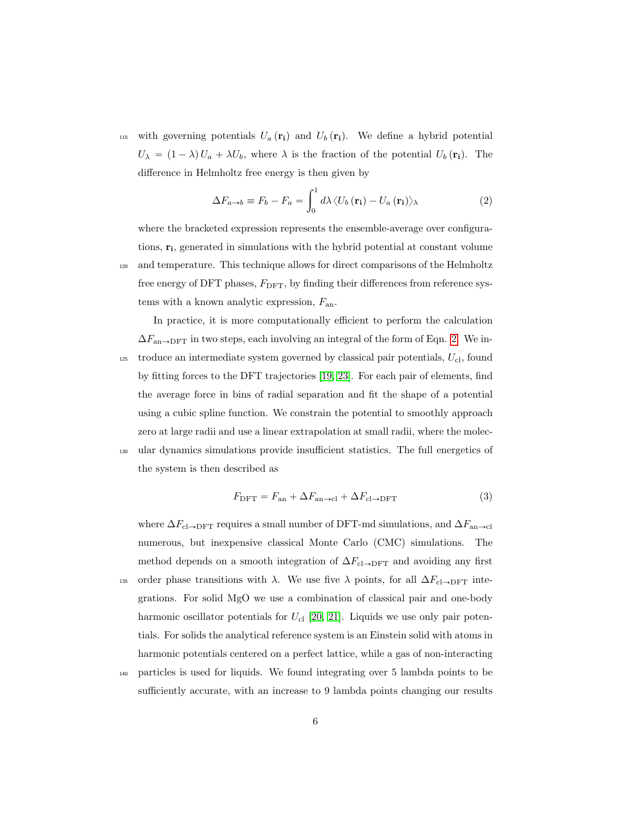115 with governing potentials  $U_a(\mathbf{r_i})$  and  $U_b(\mathbf{r_i})$ . We define a hybrid potential  $U_{\lambda} = (1 - \lambda) U_a + \lambda U_b$ , where  $\lambda$  is the fraction of the potential  $U_b(\mathbf{r_i})$ . The difference in Helmholtz free energy is then given by

<span id="page-5-0"></span>
$$
\Delta F_{a \to b} \equiv F_b - F_a = \int_0^1 d\lambda \langle U_b (\mathbf{r_i}) - U_a (\mathbf{r_i}) \rangle_\lambda \tag{2}
$$

where the bracketed expression represents the ensemble-average over configurations,  $\mathbf{r_i}$ , generated in simulations with the hybrid potential at constant volume <sup>120</sup> and temperature. This technique allows for direct comparisons of the Helmholtz free energy of DFT phases,  $F_{\text{DFT}}$ , by finding their differences from reference systems with a known analytic expression,  $F_{\text{an}}$ .

In practice, it is more computationally efficient to perform the calculation  $\Delta F_{\text{an}\rightarrow\text{DFT}}$  in two steps, each involving an integral of the form of Eqn. [2.](#page-5-0) We introduce an intermediate system governed by classical pair potentials,  $U_{\text{cl}}$ , found by fitting forces to the DFT trajectories [\[19,](#page-17-5) [23\]](#page-18-2). For each pair of elements, find the average force in bins of radial separation and fit the shape of a potential using a cubic spline function. We constrain the potential to smoothly approach zero at large radii and use a linear extrapolation at small radii, where the molec-<sup>130</sup> ular dynamics simulations provide insufficient statistics. The full energetics of the system is then described as

<span id="page-5-1"></span>
$$
F_{\text{DFT}} = F_{\text{an}} + \Delta F_{\text{an}\to\text{cl}} + \Delta F_{\text{cl}\to\text{DFT}} \tag{3}
$$

where  $\Delta F_{\text{cl}\rightarrow\text{DFT}}$  requires a small number of DFT-md simulations, and  $\Delta F_{\text{an}\rightarrow\text{cl}}$ numerous, but inexpensive classical Monte Carlo (CMC) simulations. The method depends on a smooth integration of  $\Delta F_{\text{cl}\rightarrow\text{DFT}}$  and avoiding any first 135 order phase transitions with  $\lambda$ . We use five  $\lambda$  points, for all  $\Delta F_{\text{cl}\rightarrow\text{DFT}}$  integrations. For solid MgO we use a combination of classical pair and one-body harmonic oscillator potentials for  $U_{\text{cl}}$  [\[20,](#page-17-6) [21\]](#page-18-0). Liquids we use only pair potentials. For solids the analytical reference system is an Einstein solid with atoms in harmonic potentials centered on a perfect lattice, while a gas of non-interacting

<sup>140</sup> particles is used for liquids. We found integrating over 5 lambda points to be sufficiently accurate, with an increase to 9 lambda points changing our results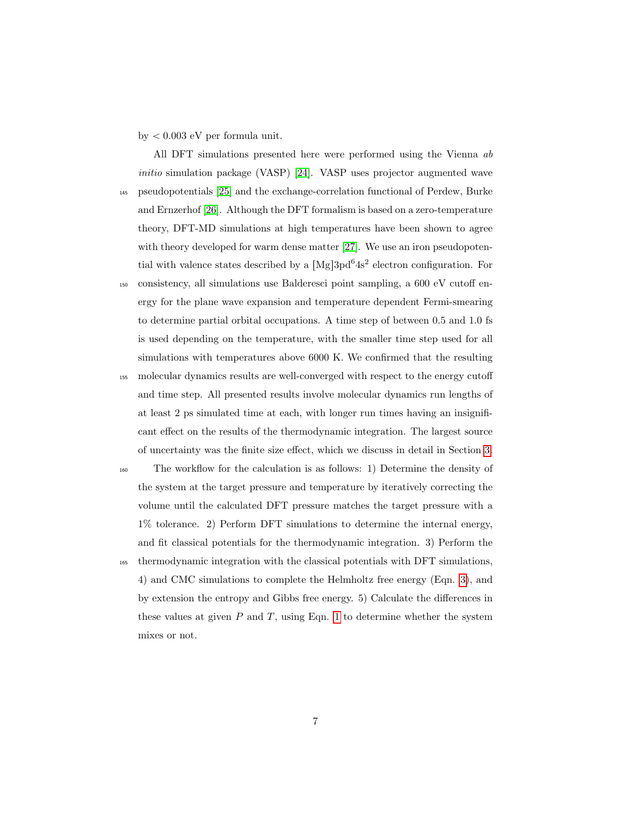by  $< 0.003$  eV per formula unit.

All DFT simulations presented here were performed using the Vienna ab initio simulation package (VASP) [\[24\]](#page-18-3). VASP uses projector augmented wave <sup>145</sup> pseudopotentials [\[25\]](#page-18-4) and the exchange-correlation functional of Perdew, Burke and Ernzerhof [\[26\]](#page-18-5). Although the DFT formalism is based on a zero-temperature theory, DFT-MD simulations at high temperatures have been shown to agree with theory developed for warm dense matter [\[27\]](#page-19-0). We use an iron pseudopotential with valence states described by a  $[Mg]$ 3pd<sup>6</sup>4s<sup>2</sup> electron configuration. For

<sup>150</sup> consistency, all simulations use Balderesci point sampling, a 600 eV cutoff energy for the plane wave expansion and temperature dependent Fermi-smearing to determine partial orbital occupations. A time step of between 0.5 and 1.0 fs is used depending on the temperature, with the smaller time step used for all simulations with temperatures above 6000 K. We confirmed that the resulting <sup>155</sup> molecular dynamics results are well-converged with respect to the energy cutoff and time step. All presented results involve molecular dynamics run lengths of at least 2 ps simulated time at each, with longer run times having an insignificant effect on the results of the thermodynamic integration. The largest source of uncertainty was the finite size effect, which we discuss in detail in Section [3.](#page-7-0)

<sup>160</sup> The workflow for the calculation is as follows: 1) Determine the density of the system at the target pressure and temperature by iteratively correcting the volume until the calculated DFT pressure matches the target pressure with a 1% tolerance. 2) Perform DFT simulations to determine the internal energy, and fit classical potentials for the thermodynamic integration. 3) Perform the <sup>165</sup> thermodynamic integration with the classical potentials with DFT simulations, 4) and CMC simulations to complete the Helmholtz free energy (Eqn. [3\)](#page-5-1), and by extension the entropy and Gibbs free energy. 5) Calculate the differences in these values at given  $P$  and  $T$ , using Eqn. [1](#page-3-0) to determine whether the system mixes or not.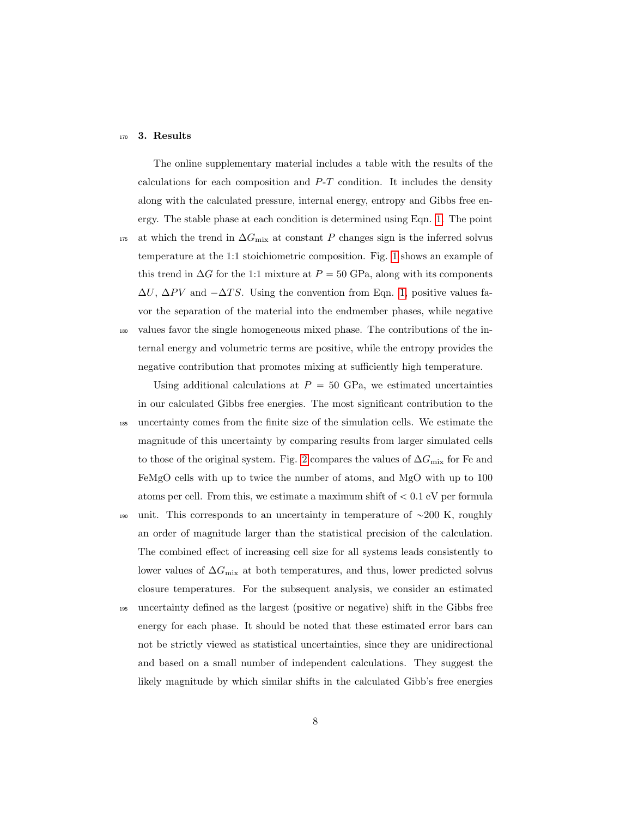#### <span id="page-7-0"></span><sup>170</sup> 3. Results

The online supplementary material includes a table with the results of the calculations for each composition and  $P-T$  condition. It includes the density along with the calculated pressure, internal energy, entropy and Gibbs free energy. The stable phase at each condition is determined using Eqn. [1.](#page-3-0) The point <sup>175</sup> at which the trend in  $\Delta G_{\text{mix}}$  at constant P changes sign is the inferred solvus temperature at the 1:1 stoichiometric composition. Fig. [1](#page-23-0) shows an example of this trend in  $\Delta G$  for the 1:1 mixture at  $P = 50$  GPa, along with its components  $\Delta U$ ,  $\Delta PV$  and  $-\Delta TS$ . Using the convention from Eqn. [1,](#page-3-0) positive values favor the separation of the material into the endmember phases, while negative <sup>180</sup> values favor the single homogeneous mixed phase. The contributions of the internal energy and volumetric terms are positive, while the entropy provides the negative contribution that promotes mixing at sufficiently high temperature.

Using additional calculations at  $P = 50$  GPa, we estimated uncertainties in our calculated Gibbs free energies. The most significant contribution to the <sup>185</sup> uncertainty comes from the finite size of the simulation cells. We estimate the magnitude of this uncertainty by comparing results from larger simulated cells to those of the original system. Fig. [2](#page-24-0) compares the values of  $\Delta G_{\rm mix}$  for Fe and FeMgO cells with up to twice the number of atoms, and MgO with up to 100 atoms per cell. From this, we estimate a maximum shift of  $< 0.1$  eV per formula 190 unit. This corresponds to an uncertainty in temperature of  $\sim$ 200 K, roughly an order of magnitude larger than the statistical precision of the calculation. The combined effect of increasing cell size for all systems leads consistently to lower values of  $\Delta G_{\rm mix}$  at both temperatures, and thus, lower predicted solvus closure temperatures. For the subsequent analysis, we consider an estimated <sup>195</sup> uncertainty defined as the largest (positive or negative) shift in the Gibbs free energy for each phase. It should be noted that these estimated error bars can not be strictly viewed as statistical uncertainties, since they are unidirectional and based on a small number of independent calculations. They suggest the likely magnitude by which similar shifts in the calculated Gibb's free energies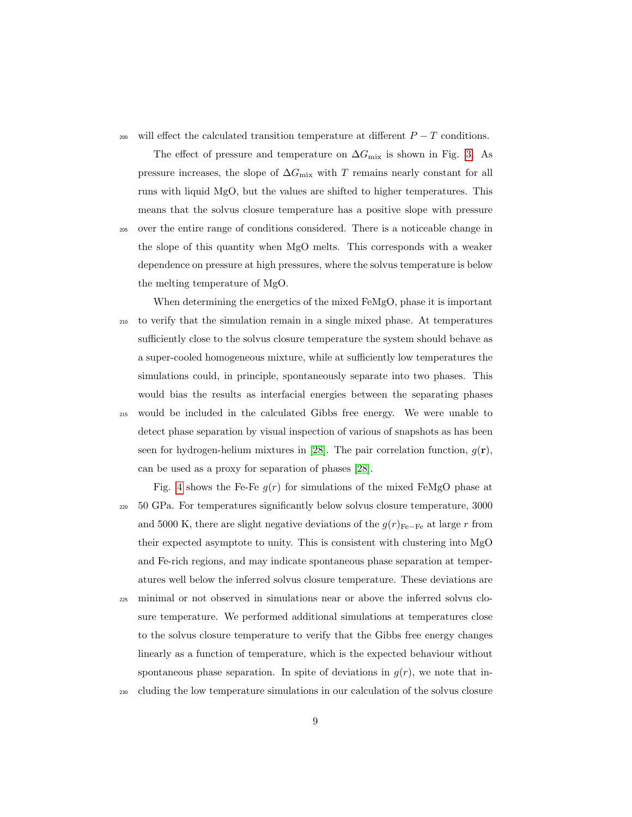<sup>200</sup> will effect the calculated transition temperature at different  $P - T$  conditions.

The effect of pressure and temperature on  $\Delta G_{\text{mix}}$  is shown in Fig. [3.](#page-25-0) As pressure increases, the slope of  $\Delta G_{\text{mix}}$  with T remains nearly constant for all runs with liquid MgO, but the values are shifted to higher temperatures. This means that the solvus closure temperature has a positive slope with pressure

- <sup>205</sup> over the entire range of conditions considered. There is a noticeable change in the slope of this quantity when MgO melts. This corresponds with a weaker dependence on pressure at high pressures, where the solvus temperature is below the melting temperature of MgO.
- When determining the energetics of the mixed FeMgO, phase it is important <sup>210</sup> to verify that the simulation remain in a single mixed phase. At temperatures sufficiently close to the solvus closure temperature the system should behave as a super-cooled homogeneous mixture, while at sufficiently low temperatures the simulations could, in principle, spontaneously separate into two phases. This would bias the results as interfacial energies between the separating phases <sup>215</sup> would be included in the calculated Gibbs free energy. We were unable to detect phase separation by visual inspection of various of snapshots as has been seen for hydrogen-helium mixtures in [\[28\]](#page-19-1). The pair correlation function,  $g(\mathbf{r})$ , can be used as a proxy for separation of phases [\[28\]](#page-19-1).

Fig. [4](#page-26-0) shows the Fe-Fe  $g(r)$  for simulations of the mixed FeMgO phase at <sup>220</sup> 50 GPa. For temperatures significantly below solvus closure temperature, 3000 and 5000 K, there are slight negative deviations of the  $g(r)_{\text{Fe}-\text{Fe}}$  at large r from their expected asymptote to unity. This is consistent with clustering into MgO and Fe-rich regions, and may indicate spontaneous phase separation at temperatures well below the inferred solvus closure temperature. These deviations are <sup>225</sup> minimal or not observed in simulations near or above the inferred solvus closure temperature. We performed additional simulations at temperatures close to the solvus closure temperature to verify that the Gibbs free energy changes linearly as a function of temperature, which is the expected behaviour without spontaneous phase separation. In spite of deviations in  $q(r)$ , we note that in-

<sup>230</sup> cluding the low temperature simulations in our calculation of the solvus closure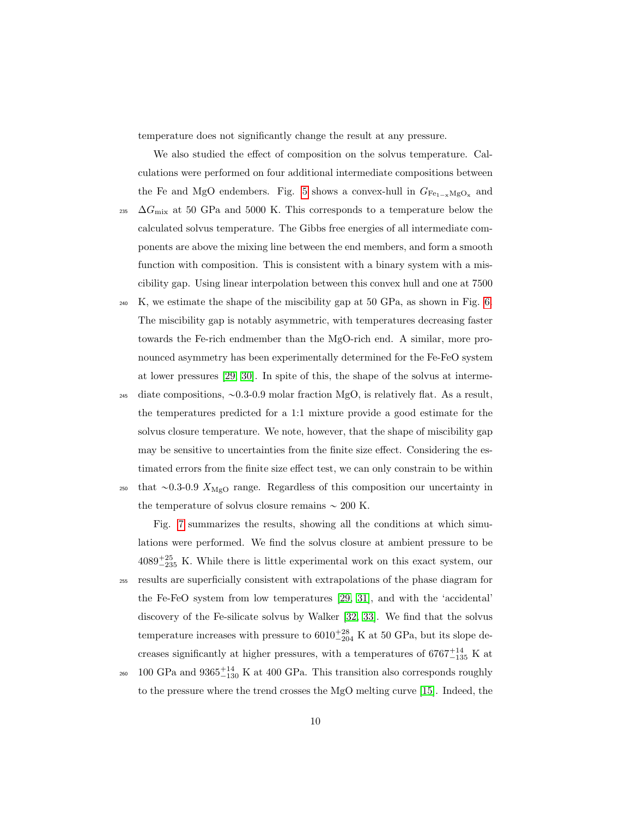temperature does not significantly change the result at any pressure.

We also studied the effect of composition on the solvus temperature. Calculations were performed on four additional intermediate compositions between the Fe and MgO endembers. Fig. [5](#page-27-0) shows a convex-hull in  $G_{Fe_{1-x}MgO_x}$  and

- 235  $\Delta G_{\rm mix}$  at 50 GPa and 5000 K. This corresponds to a temperature below the calculated solvus temperature. The Gibbs free energies of all intermediate components are above the mixing line between the end members, and form a smooth function with composition. This is consistent with a binary system with a miscibility gap. Using linear interpolation between this convex hull and one at 7500
- $_{240}$  K, we estimate the shape of the miscibility gap at 50 GPa, as shown in Fig. [6.](#page-28-0) The miscibility gap is notably asymmetric, with temperatures decreasing faster towards the Fe-rich endmember than the MgO-rich end. A similar, more pronounced asymmetry has been experimentally determined for the Fe-FeO system at lower pressures [\[29,](#page-19-2) [30\]](#page-19-3). In spite of this, the shape of the solvus at interme-

245 diate compositions,  $\sim 0.3$ -0.9 molar fraction MgO, is relatively flat. As a result, the temperatures predicted for a 1:1 mixture provide a good estimate for the solvus closure temperature. We note, however, that the shape of miscibility gap may be sensitive to uncertainties from the finite size effect. Considering the estimated errors from the finite size effect test, we can only constrain to be within <sup>250</sup> that  $\sim$ 0.3-0.9  $X_{\text{MgO}}$  range. Regardless of this composition our uncertainty in the temperature of solvus closure remains  $\sim 200$  K.

Fig. [7](#page-29-0) summarizes the results, showing all the conditions at which simulations were performed. We find the solvus closure at ambient pressure to be  $4089^{+25}_{-235}$  K. While there is little experimental work on this exact system, our <sup>255</sup> results are superficially consistent with extrapolations of the phase diagram for the Fe-FeO system from low temperatures [\[29,](#page-19-2) [31\]](#page-19-4), and with the 'accidental' discovery of the Fe-silicate solvus by Walker [\[32,](#page-19-5) [33\]](#page-20-0). We find that the solvus temperature increases with pressure to  $6010^{+28}_{-204}$  K at 50 GPa, but its slope decreases significantly at higher pressures, with a temperatures of  $6767^{+14}_{-135}$  K at <sup>260</sup> 100 GPa and  $9365^{+14}_{-130}$  K at 400 GPa. This transition also corresponds roughly to the pressure where the trend crosses the MgO melting curve [\[15\]](#page-17-1). Indeed, the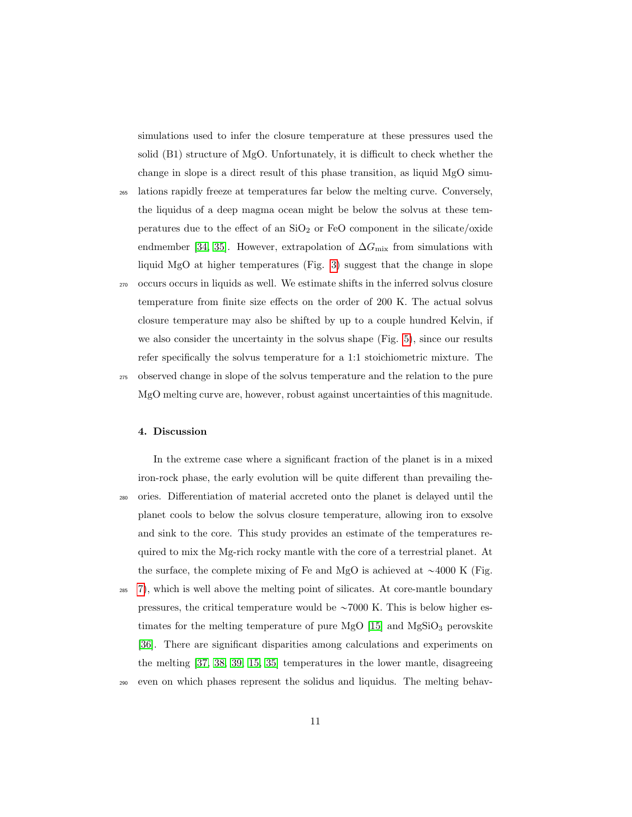simulations used to infer the closure temperature at these pressures used the solid (B1) structure of MgO. Unfortunately, it is difficult to check whether the change in slope is a direct result of this phase transition, as liquid MgO simu-

- <sup>265</sup> lations rapidly freeze at temperatures far below the melting curve. Conversely, the liquidus of a deep magma ocean might be below the solvus at these temperatures due to the effect of an  $SiO<sub>2</sub>$  or FeO component in the silicate/oxide endmember [\[34,](#page-20-1) [35\]](#page-20-2). However, extrapolation of  $\Delta G_{\rm mix}$  from simulations with liquid MgO at higher temperatures (Fig. [3\)](#page-25-0) suggest that the change in slope
- <sup>270</sup> occurs occurs in liquids as well. We estimate shifts in the inferred solvus closure temperature from finite size effects on the order of 200 K. The actual solvus closure temperature may also be shifted by up to a couple hundred Kelvin, if we also consider the uncertainty in the solvus shape (Fig. [5\)](#page-27-0), since our results refer specifically the solvus temperature for a 1:1 stoichiometric mixture. The <sup>275</sup> observed change in slope of the solvus temperature and the relation to the pure MgO melting curve are, however, robust against uncertainties of this magnitude.

#### <span id="page-10-0"></span>4. Discussion

In the extreme case where a significant fraction of the planet is in a mixed iron-rock phase, the early evolution will be quite different than prevailing the-<sup>280</sup> ories. Differentiation of material accreted onto the planet is delayed until the planet cools to below the solvus closure temperature, allowing iron to exsolve and sink to the core. This study provides an estimate of the temperatures required to mix the Mg-rich rocky mantle with the core of a terrestrial planet. At the surface, the complete mixing of Fe and MgO is achieved at  $\sim$ 4000 K (Fig. <sup>285</sup> [7\)](#page-29-0), which is well above the melting point of silicates. At core-mantle boundary pressures, the critical temperature would be  $\sim 7000$  K. This is below higher estimates for the melting temperature of pure MgO  $[15]$  and MgSiO<sub>3</sub> perovskite [\[36\]](#page-20-3). There are significant disparities among calculations and experiments on the melting [\[37,](#page-20-4) [38,](#page-20-5) [39,](#page-21-0) [15,](#page-17-1) [35\]](#page-20-2) temperatures in the lower mantle, disagreeing

<sup>290</sup> even on which phases represent the solidus and liquidus. The melting behav-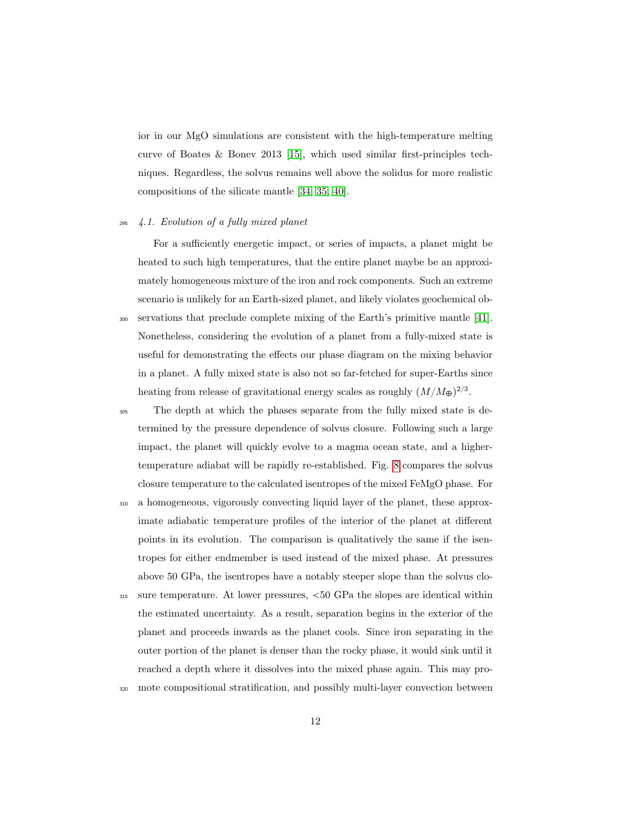ior in our MgO simulations are consistent with the high-temperature melting curve of Boates & Bonev 2013 [\[15\]](#page-17-1), which used similar first-principles techniques. Regardless, the solvus remains well above the solidus for more realistic compositions of the silicate mantle [\[34,](#page-20-1) [35,](#page-20-2) [40\]](#page-21-1).

#### <sup>295</sup> 4.1. Evolution of a fully mixed planet

For a sufficiently energetic impact, or series of impacts, a planet might be heated to such high temperatures, that the entire planet maybe be an approximately homogeneous mixture of the iron and rock components. Such an extreme scenario is unlikely for an Earth-sized planet, and likely violates geochemical ob-<sup>300</sup> servations that preclude complete mixing of the Earth's primitive mantle [\[41\]](#page-21-2). Nonetheless, considering the evolution of a planet from a fully-mixed state is useful for demonstrating the effects our phase diagram on the mixing behavior in a planet. A fully mixed state is also not so far-fetched for super-Earths since heating from release of gravitational energy scales as roughly  $(M/M_{\oplus})^{2/3}$ .

- <sup>305</sup> The depth at which the phases separate from the fully mixed state is determined by the pressure dependence of solvus closure. Following such a large impact, the planet will quickly evolve to a magma ocean state, and a highertemperature adiabat will be rapidly re-established. Fig. [8](#page-30-0) compares the solvus closure temperature to the calculated isentropes of the mixed FeMgO phase. For
- <sup>310</sup> a homogeneous, vigorously convecting liquid layer of the planet, these approximate adiabatic temperature profiles of the interior of the planet at different points in its evolution. The comparison is qualitatively the same if the isentropes for either endmember is used instead of the mixed phase. At pressures above 50 GPa, the isentropes have a notably steeper slope than the solvus clo-
- $_{315}$  sure temperature. At lower pressures,  $<50$  GPa the slopes are identical within the estimated uncertainty. As a result, separation begins in the exterior of the planet and proceeds inwards as the planet cools. Since iron separating in the outer portion of the planet is denser than the rocky phase, it would sink until it reached a depth where it dissolves into the mixed phase again. This may pro-
- <sup>320</sup> mote compositional stratification, and possibly multi-layer convection between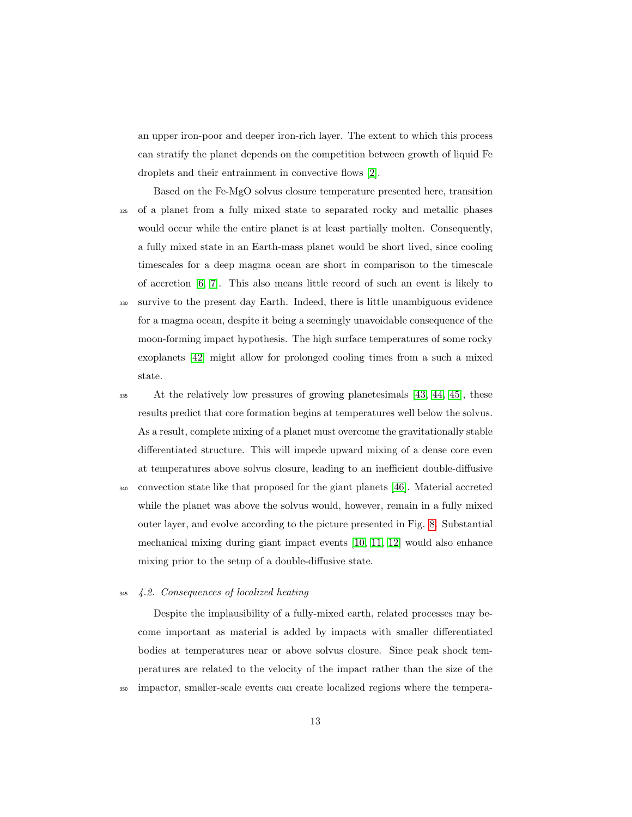an upper iron-poor and deeper iron-rich layer. The extent to which this process can stratify the planet depends on the competition between growth of liquid Fe droplets and their entrainment in convective flows [\[2\]](#page-15-1).

Based on the Fe-MgO solvus closure temperature presented here, transition <sup>325</sup> of a planet from a fully mixed state to separated rocky and metallic phases would occur while the entire planet is at least partially molten. Consequently, a fully mixed state in an Earth-mass planet would be short lived, since cooling timescales for a deep magma ocean are short in comparison to the timescale of accretion [\[6,](#page-15-5) [7\]](#page-15-6). This also means little record of such an event is likely to <sup>330</sup> survive to the present day Earth. Indeed, there is little unambiguous evidence for a magma ocean, despite it being a seemingly unavoidable consequence of the moon-forming impact hypothesis. The high surface temperatures of some rocky exoplanets [\[42\]](#page-21-3) might allow for prolonged cooling times from a such a mixed

<sup>335</sup> At the relatively low pressures of growing planetesimals [\[43,](#page-21-4) [44,](#page-21-5) [45\]](#page-22-0), these results predict that core formation begins at temperatures well below the solvus. As a result, complete mixing of a planet must overcome the gravitationally stable differentiated structure. This will impede upward mixing of a dense core even at temperatures above solvus closure, leading to an inefficient double-diffusive <sup>340</sup> convection state like that proposed for the giant planets [\[46\]](#page-22-1). Material accreted while the planet was above the solvus would, however, remain in a fully mixed outer layer, and evolve according to the picture presented in Fig. [8.](#page-30-0) Substantial

mechanical mixing during giant impact events [\[10,](#page-16-2) [11,](#page-16-3) [12\]](#page-16-4) would also enhance mixing prior to the setup of a double-diffusive state.

## <sup>345</sup> 4.2. Consequences of localized heating

state.

Despite the implausibility of a fully-mixed earth, related processes may become important as material is added by impacts with smaller differentiated bodies at temperatures near or above solvus closure. Since peak shock temperatures are related to the velocity of the impact rather than the size of the <sup>350</sup> impactor, smaller-scale events can create localized regions where the tempera-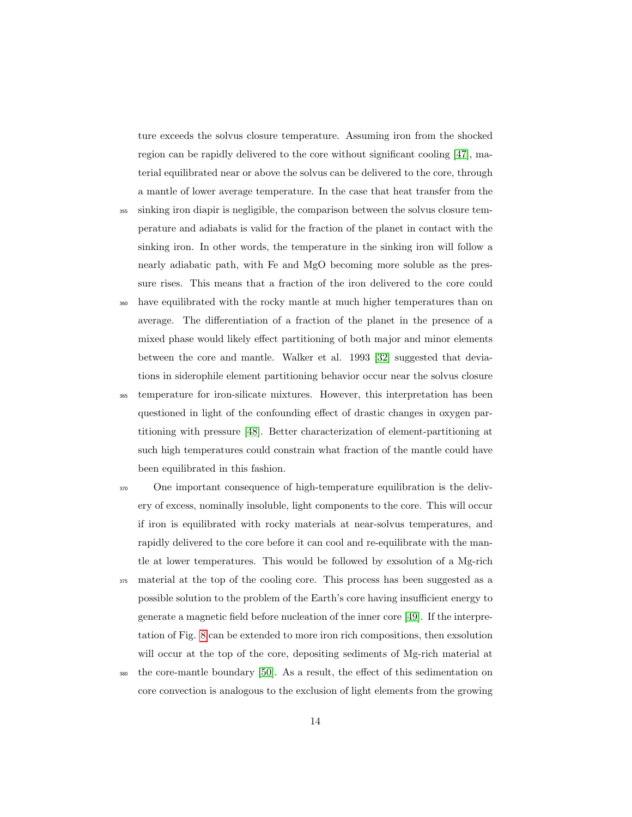ture exceeds the solvus closure temperature. Assuming iron from the shocked region can be rapidly delivered to the core without significant cooling [\[47\]](#page-22-2), material equilibrated near or above the solvus can be delivered to the core, through a mantle of lower average temperature. In the case that heat transfer from the

- <sup>355</sup> sinking iron diapir is negligible, the comparison between the solvus closure temperature and adiabats is valid for the fraction of the planet in contact with the sinking iron. In other words, the temperature in the sinking iron will follow a nearly adiabatic path, with Fe and MgO becoming more soluble as the pressure rises. This means that a fraction of the iron delivered to the core could
- <sup>360</sup> have equilibrated with the rocky mantle at much higher temperatures than on average. The differentiation of a fraction of the planet in the presence of a mixed phase would likely effect partitioning of both major and minor elements between the core and mantle. Walker et al. 1993 [\[32\]](#page-19-5) suggested that deviations in siderophile element partitioning behavior occur near the solvus closure
- <sup>365</sup> temperature for iron-silicate mixtures. However, this interpretation has been questioned in light of the confounding effect of drastic changes in oxygen partitioning with pressure [\[48\]](#page-22-3). Better characterization of element-partitioning at such high temperatures could constrain what fraction of the mantle could have been equilibrated in this fashion.
- <sup>370</sup> One important consequence of high-temperature equilibration is the delivery of excess, nominally insoluble, light components to the core. This will occur if iron is equilibrated with rocky materials at near-solvus temperatures, and rapidly delivered to the core before it can cool and re-equilibrate with the mantle at lower temperatures. This would be followed by exsolution of a Mg-rich <sup>375</sup> material at the top of the cooling core. This process has been suggested as a possible solution to the problem of the Earth's core having insufficient energy to generate a magnetic field before nucleation of the inner core [\[49\]](#page-22-4). If the interpretation of Fig. [8](#page-30-0) can be extended to more iron rich compositions, then exsolution will occur at the top of the core, depositing sediments of Mg-rich material at
- <sup>380</sup> the core-mantle boundary [\[50\]](#page-22-5). As a result, the effect of this sedimentation on core convection is analogous to the exclusion of light elements from the growing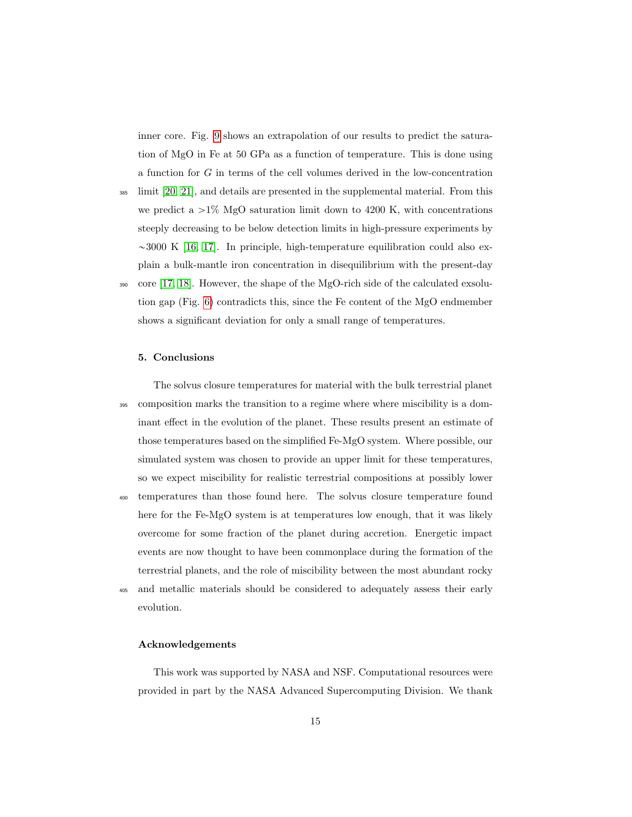inner core. Fig. [9](#page-31-0) shows an extrapolation of our results to predict the saturation of MgO in Fe at 50 GPa as a function of temperature. This is done using a function for G in terms of the cell volumes derived in the low-concentration

<sup>385</sup> limit [\[20,](#page-17-6) [21\]](#page-18-0), and details are presented in the supplemental material. From this we predict a  $>1\%$  MgO saturation limit down to 4200 K, with concentrations steeply decreasing to be below detection limits in high-pressure experiments by  $\sim$ 3000 K [\[16,](#page-17-2) [17\]](#page-17-3). In principle, high-temperature equilibration could also explain a bulk-mantle iron concentration in disequilibrium with the present-day <sup>390</sup> core [\[17,](#page-17-3) [18\]](#page-17-4). However, the shape of the MgO-rich side of the calculated exsolution gap (Fig. [6\)](#page-28-0) contradicts this, since the Fe content of the MgO endmember shows a significant deviation for only a small range of temperatures.

#### 5. Conclusions

The solvus closure temperatures for material with the bulk terrestrial planet <sup>395</sup> composition marks the transition to a regime where where miscibility is a dominant effect in the evolution of the planet. These results present an estimate of those temperatures based on the simplified Fe-MgO system. Where possible, our simulated system was chosen to provide an upper limit for these temperatures, so we expect miscibility for realistic terrestrial compositions at possibly lower <sup>400</sup> temperatures than those found here. The solvus closure temperature found here for the Fe-MgO system is at temperatures low enough, that it was likely overcome for some fraction of the planet during accretion. Energetic impact events are now thought to have been commonplace during the formation of the terrestrial planets, and the role of miscibility between the most abundant rocky

<sup>405</sup> and metallic materials should be considered to adequately assess their early evolution.

# Acknowledgements

This work was supported by NASA and NSF. Computational resources were provided in part by the NASA Advanced Supercomputing Division. We thank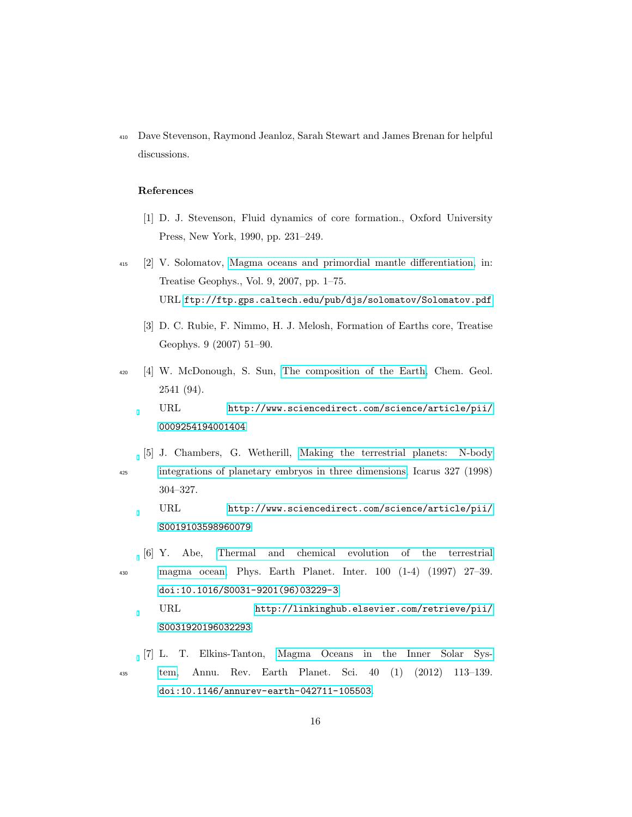<sup>410</sup> Dave Stevenson, Raymond Jeanloz, Sarah Stewart and James Brenan for helpful discussions.

## References

- <span id="page-15-0"></span>[1] D. J. Stevenson, Fluid dynamics of core formation., Oxford University Press, New York, 1990, pp. 231–249.
- <span id="page-15-2"></span><span id="page-15-1"></span><sup>415</sup> [2] V. Solomatov, [Magma oceans and primordial mantle differentiation,](ftp://ftp.gps.caltech.edu/pub/djs/solomatov/Solomatov.pdf) in: Treatise Geophys., Vol. 9, 2007, pp. 1–75. URL <ftp://ftp.gps.caltech.edu/pub/djs/solomatov/Solomatov.pdf>
	- [3] D. C. Rubie, F. Nimmo, H. J. Melosh, Formation of Earths core, Treatise Geophys. 9 (2007) 51–90.
- <span id="page-15-3"></span><sup>420</sup> [4] W. McDonough, S. Sun, [The composition of the Earth,](http://www.sciencedirect.com/science/article/pii/0009254194001404) Chem. Geol. 2541 (94). URL [http://www.sciencedirect.com/science/article/pii/](http://www.sciencedirect.com/science/article/pii/0009254194001404) [0009254194001404](http://www.sciencedirect.com/science/article/pii/0009254194001404)
- <span id="page-15-4"></span>[5] J. Chambers, G. Wetherill, [Making the terrestrial planets: N-body](http://www.sciencedirect.com/science/article/pii/S0019103598960079) <sup>425</sup> [integrations of planetary embryos in three dimensions,](http://www.sciencedirect.com/science/article/pii/S0019103598960079) Icarus 327 (1998) 304–327.

URL [http://www.sciencedirect.com/science/article/pii/](http://www.sciencedirect.com/science/article/pii/S0019103598960079) [S0019103598960079](http://www.sciencedirect.com/science/article/pii/S0019103598960079)

<span id="page-15-5"></span>[6] Y. Abe, [Thermal and chemical evolution of the terrestrial](http://linkinghub.elsevier.com/retrieve/pii/S0031920196032293) <sup>430</sup> [magma ocean,](http://linkinghub.elsevier.com/retrieve/pii/S0031920196032293) Phys. Earth Planet. Inter. 100 (1-4) (1997) 27–39. [doi:10.1016/S0031-9201\(96\)03229-3](http://dx.doi.org/10.1016/S0031-9201(96)03229-3).

URL [http://linkinghub.elsevier.com/retrieve/pii/](http://linkinghub.elsevier.com/retrieve/pii/S0031920196032293) [S0031920196032293](http://linkinghub.elsevier.com/retrieve/pii/S0031920196032293)

<span id="page-15-6"></span>[7] L. T. Elkins-Tanton, [Magma Oceans in the Inner Solar Sys-](http://www.annualreviews.org/doi/abs/10.1146/annurev-earth-042711-105503)<sup>435</sup> [tem,](http://www.annualreviews.org/doi/abs/10.1146/annurev-earth-042711-105503) Annu. Rev. Earth Planet. Sci. 40 (1) (2012) 113–139. [doi:10.1146/annurev-earth-042711-105503](http://dx.doi.org/10.1146/annurev-earth-042711-105503).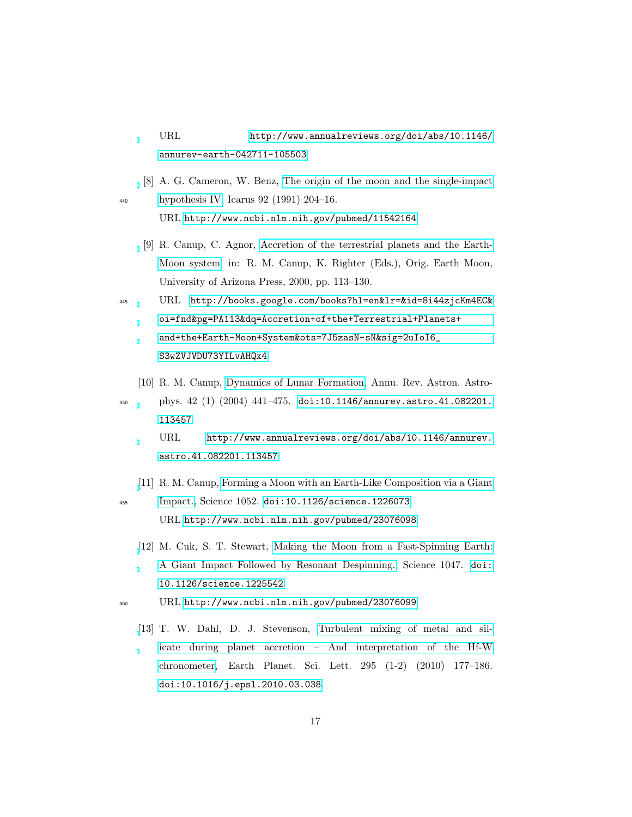URL [http://www.annualreviews.org/doi/abs/10.1146/](http://www.annualreviews.org/doi/abs/10.1146/annurev-earth-042711-105503) [annurev-earth-042711-105503](http://www.annualreviews.org/doi/abs/10.1146/annurev-earth-042711-105503)

<span id="page-16-0"></span>[8] A. G. Cameron, W. Benz, [The origin of the moon and the single-impact](http://www.ncbi.nlm.nih.gov/pubmed/11542164) <sup>440</sup> [hypothesis IV,](http://www.ncbi.nlm.nih.gov/pubmed/11542164) Icarus 92 (1991) 204–16.

URL <http://www.ncbi.nlm.nih.gov/pubmed/11542164>

- <span id="page-16-1"></span>[9] R. Canup, C. Agnor, [Accretion of the terrestrial planets and the Earth-](http://books.google.com/books?hl=en&lr=&id=8i44zjcKm4EC&oi=fnd&pg=PA113&dq=Accretion+of+the+Terrestrial+Planets+and+the+Earth-Moon+System&ots=7J5zasN-sN&sig=2uIoI6_S3wZVJVDU73YILvAHQx4)[Moon system,](http://books.google.com/books?hl=en&lr=&id=8i44zjcKm4EC&oi=fnd&pg=PA113&dq=Accretion+of+the+Terrestrial+Planets+and+the+Earth-Moon+System&ots=7J5zasN-sN&sig=2uIoI6_S3wZVJVDU73YILvAHQx4) in: R. M. Canup, K. Righter (Eds.), Orig. Earth Moon, University of Arizona Press, 2000, pp. 113–130.
- <sup>445</sup> URL [http://books.google.com/books?hl=en&lr=&id=8i44zjcKm4EC&](http://books.google.com/books?hl=en&lr=&id=8i44zjcKm4EC&oi=fnd&pg=PA113&dq=Accretion+of+the+Terrestrial+Planets+and+the+Earth-Moon+System&ots=7J5zasN-sN&sig=2uIoI6_S3wZVJVDU73YILvAHQx4) [oi=fnd&pg=PA113&dq=Accretion+of+the+Terrestrial+Planets+](http://books.google.com/books?hl=en&lr=&id=8i44zjcKm4EC&oi=fnd&pg=PA113&dq=Accretion+of+the+Terrestrial+Planets+and+the+Earth-Moon+System&ots=7J5zasN-sN&sig=2uIoI6_S3wZVJVDU73YILvAHQx4) [and+the+Earth-Moon+System&ots=7J5zasN-sN&sig=2uIoI6\\_](http://books.google.com/books?hl=en&lr=&id=8i44zjcKm4EC&oi=fnd&pg=PA113&dq=Accretion+of+the+Terrestrial+Planets+and+the+Earth-Moon+System&ots=7J5zasN-sN&sig=2uIoI6_S3wZVJVDU73YILvAHQx4) [S3wZVJVDU73YILvAHQx4](http://books.google.com/books?hl=en&lr=&id=8i44zjcKm4EC&oi=fnd&pg=PA113&dq=Accretion+of+the+Terrestrial+Planets+and+the+Earth-Moon+System&ots=7J5zasN-sN&sig=2uIoI6_S3wZVJVDU73YILvAHQx4)
	- [10] R. M. Canup, [Dynamics of Lunar Formation,](http://www.annualreviews.org/doi/abs/10.1146/annurev.astro.41.082201.113457) Annu. Rev. Astron. Astro-
- <span id="page-16-2"></span><sup>450</sup> phys. 42 (1) (2004) 441–475. [doi:10.1146/annurev.astro.41.082201.](http://dx.doi.org/10.1146/annurev.astro.41.082201.113457) [113457](http://dx.doi.org/10.1146/annurev.astro.41.082201.113457). URL [http://www.annualreviews.org/doi/abs/10.1146/annurev.](http://www.annualreviews.org/doi/abs/10.1146/annurev.astro.41.082201.113457) [astro.41.082201.113457](http://www.annualreviews.org/doi/abs/10.1146/annurev.astro.41.082201.113457)
- <span id="page-16-3"></span>[\[](http://www.ncbi.nlm.nih.gov/pubmed/23076098)11] R. M. Canup, [Forming a Moon with an Earth-Like Composition via a Giant](http://www.ncbi.nlm.nih.gov/pubmed/23076098) <sup>455</sup> [Impact.,](http://www.ncbi.nlm.nih.gov/pubmed/23076098) Science 1052. [doi:10.1126/science.1226073](http://dx.doi.org/10.1126/science.1226073).

URL <http://www.ncbi.nlm.nih.gov/pubmed/23076098>

- <span id="page-16-4"></span>[\[](http://www.ncbi.nlm.nih.gov/pubmed/23076099)12] M. Cuk, S. T. Stewart, [Making the Moon from a Fast-Spinning Earth:](http://www.ncbi.nlm.nih.gov/pubmed/23076099) [A Giant Impact Followed by Resonant Despinning.,](http://www.ncbi.nlm.nih.gov/pubmed/23076099) Science 1047. [doi:](http://dx.doi.org/10.1126/science.1225542) [10.1126/science.1225542](http://dx.doi.org/10.1126/science.1225542).
- <span id="page-16-5"></span><sup>460</sup> URL <http://www.ncbi.nlm.nih.gov/pubmed/23076099>
	- [\[](http://linkinghub.elsevier.com/retrieve/pii/S0012821X10002220)13] T. W. Dahl, D. J. Stevenson, [Turbulent mixing of metal and sil](http://linkinghub.elsevier.com/retrieve/pii/S0012821X10002220)[icate during planet accretion – And interpretation of the Hf-W](http://linkinghub.elsevier.com/retrieve/pii/S0012821X10002220) [chronometer,](http://linkinghub.elsevier.com/retrieve/pii/S0012821X10002220) Earth Planet. Sci. Lett. 295 (1-2) (2010) 177–186. [doi:10.1016/j.epsl.2010.03.038](http://dx.doi.org/10.1016/j.epsl.2010.03.038).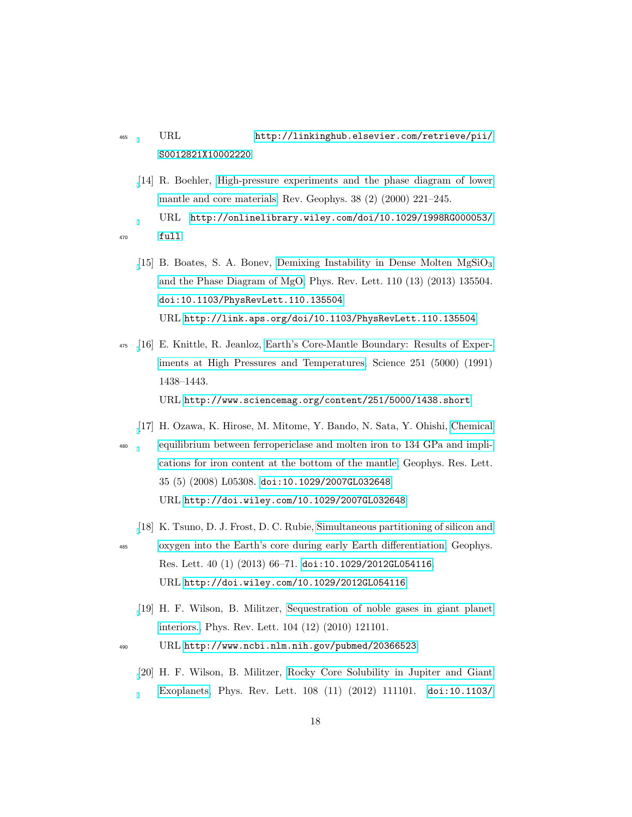# <sup>465</sup> URL [http://linkinghub.elsevier.com/retrieve/pii/](http://linkinghub.elsevier.com/retrieve/pii/S0012821X10002220) [S0012821X10002220](http://linkinghub.elsevier.com/retrieve/pii/S0012821X10002220)

- <span id="page-17-1"></span><span id="page-17-0"></span>[\[](http://onlinelibrary.wiley.com/doi/10.1029/1998RG000053/full)14] R. Boehler, [High-pressure experiments and the phase diagram of lower](http://onlinelibrary.wiley.com/doi/10.1029/1998RG000053/full) [mantle and core materials,](http://onlinelibrary.wiley.com/doi/10.1029/1998RG000053/full) Rev. Geophys. 38 (2) (2000) 221–245. URL [http://onlinelibrary.wiley.com/doi/10.1029/1998RG000053/](http://onlinelibrary.wiley.com/doi/10.1029/1998RG000053/full) <sup>470</sup> [full](http://onlinelibrary.wiley.com/doi/10.1029/1998RG000053/full)
	- [\[](http://link.aps.org/doi/10.1103/PhysRevLett.110.135504)15] B. Boates, S. A. Bonev, Demixing Instability in Dense Molten  $MgSiO<sub>3</sub>$ [and the Phase Diagram of MgO,](http://link.aps.org/doi/10.1103/PhysRevLett.110.135504) Phys. Rev. Lett. 110 (13) (2013) 135504. [doi:10.1103/PhysRevLett.110.135504](http://dx.doi.org/10.1103/PhysRevLett.110.135504). URL <http://link.aps.org/doi/10.1103/PhysRevLett.110.135504>
- <span id="page-17-2"></span><sup>475</sup> [\[](http://www.sciencemag.org/content/251/5000/1438.short)16] E. Knittle, R. Jeanloz, [Earth's Core-Mantle Boundary: Results of Exper](http://www.sciencemag.org/content/251/5000/1438.short)[iments at High Pressures and Temperatures,](http://www.sciencemag.org/content/251/5000/1438.short) Science 251 (5000) (1991) 1438–1443. URL <http://www.sciencemag.org/content/251/5000/1438.short>
	- [\[](http://doi.wiley.com/10.1029/2007GL032648)17] H. Ozawa, K. Hirose, M. Mitome, Y. Bando, N. Sata, Y. Ohishi, [Chemical](http://doi.wiley.com/10.1029/2007GL032648)
- <span id="page-17-3"></span><sup>480</sup> [equilibrium between ferropericlase and molten iron to 134 GPa and impli](http://doi.wiley.com/10.1029/2007GL032648)[cations for iron content at the bottom of the mantle,](http://doi.wiley.com/10.1029/2007GL032648) Geophys. Res. Lett. 35 (5) (2008) L05308. [doi:10.1029/2007GL032648](http://dx.doi.org/10.1029/2007GL032648). URL <http://doi.wiley.com/10.1029/2007GL032648>
	- [\[](http://doi.wiley.com/10.1029/2012GL054116)18] K. Tsuno, D. J. Frost, D. C. Rubie, [Simultaneous partitioning of silicon and](http://doi.wiley.com/10.1029/2012GL054116)
- <span id="page-17-4"></span><sup>485</sup> [oxygen into the Earth's core during early Earth differentiation,](http://doi.wiley.com/10.1029/2012GL054116) Geophys. Res. Lett. 40 (1) (2013) 66–71. [doi:10.1029/2012GL054116](http://dx.doi.org/10.1029/2012GL054116). URL <http://doi.wiley.com/10.1029/2012GL054116>
	- [\[](http://www.ncbi.nlm.nih.gov/pubmed/20366523)19] H. F. Wilson, B. Militzer, [Sequestration of noble gases in giant planet](http://www.ncbi.nlm.nih.gov/pubmed/20366523) [interiors.,](http://www.ncbi.nlm.nih.gov/pubmed/20366523) Phys. Rev. Lett. 104 (12) (2010) 121101.
- <span id="page-17-6"></span><span id="page-17-5"></span><sup>490</sup> URL <http://www.ncbi.nlm.nih.gov/pubmed/20366523>
	- [\[](http://link.aps.org/doi/10.1103/PhysRevLett.108.111101)20] H. F. Wilson, B. Militzer, [Rocky Core Solubility in Jupiter and Giant](http://link.aps.org/doi/10.1103/PhysRevLett.108.111101) [Exoplanets,](http://link.aps.org/doi/10.1103/PhysRevLett.108.111101) Phys. Rev. Lett. 108 (11) (2012) 111101. [doi:10.1103/](http://dx.doi.org/10.1103/PhysRevLett.108.111101)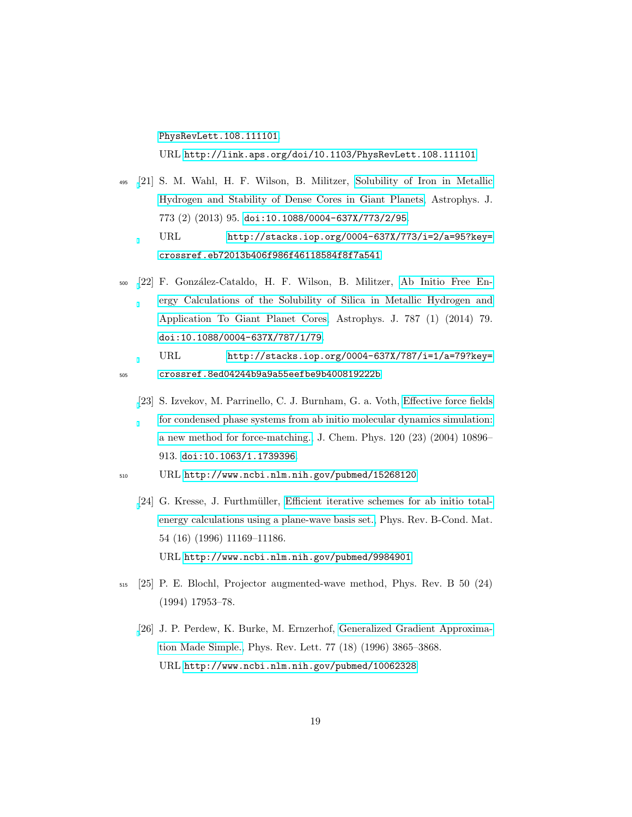[PhysRevLett.108.111101](http://dx.doi.org/10.1103/PhysRevLett.108.111101).

URL <http://link.aps.org/doi/10.1103/PhysRevLett.108.111101>

- <span id="page-18-0"></span><sup>495</sup> [\[](http://stacks.iop.org/0004-637X/773/i=2/a=95?key=crossref.eb72013b406f986f46118584f8f7a541)21] S. M. Wahl, H. F. Wilson, B. Militzer, [Solubility of Iron in Metallic](http://stacks.iop.org/0004-637X/773/i=2/a=95?key=crossref.eb72013b406f986f46118584f8f7a541) [Hydrogen and Stability of Dense Cores in Giant Planets,](http://stacks.iop.org/0004-637X/773/i=2/a=95?key=crossref.eb72013b406f986f46118584f8f7a541) Astrophys. J. 773 (2) (2013) 95. [doi:10.1088/0004-637X/773/2/95](http://dx.doi.org/10.1088/0004-637X/773/2/95). URL [http://stacks.iop.org/0004-637X/773/i=2/a=95?key=](http://stacks.iop.org/0004-637X/773/i=2/a=95?key=crossref.eb72013b406f986f46118584f8f7a541) [crossref.eb72013b406f986f46118584f8f7a541](http://stacks.iop.org/0004-637X/773/i=2/a=95?key=crossref.eb72013b406f986f46118584f8f7a541)
- <span id="page-18-1"></span><sup>500</sup> [\[](http://stacks.iop.org/0004-637X/787/i=1/a=79?key=crossref.8ed04244b9a9a55eefbe9b400819222b)22] F. Gonz´alez-Cataldo, H. F. Wilson, B. Militzer, [Ab Initio Free En](http://stacks.iop.org/0004-637X/787/i=1/a=79?key=crossref.8ed04244b9a9a55eefbe9b400819222b)[ergy Calculations of the Solubility of Silica in Metallic Hydrogen and](http://stacks.iop.org/0004-637X/787/i=1/a=79?key=crossref.8ed04244b9a9a55eefbe9b400819222b) [Application To Giant Planet Cores,](http://stacks.iop.org/0004-637X/787/i=1/a=79?key=crossref.8ed04244b9a9a55eefbe9b400819222b) Astrophys. J. 787 (1) (2014) 79. [doi:10.1088/0004-637X/787/1/79](http://dx.doi.org/10.1088/0004-637X/787/1/79).

URL [http://stacks.iop.org/0004-637X/787/i=1/a=79?key=](http://stacks.iop.org/0004-637X/787/i=1/a=79?key=crossref.8ed04244b9a9a55eefbe9b400819222b) <sup>505</sup> [crossref.8ed04244b9a9a55eefbe9b400819222b](http://stacks.iop.org/0004-637X/787/i=1/a=79?key=crossref.8ed04244b9a9a55eefbe9b400819222b)

- <span id="page-18-2"></span>[\[](http://www.ncbi.nlm.nih.gov/pubmed/15268120)23] S. Izvekov, M. Parrinello, C. J. Burnham, G. a. Voth, [Effective force fields](http://www.ncbi.nlm.nih.gov/pubmed/15268120) [for condensed phase systems from ab initio molecular dynamics simulation:](http://www.ncbi.nlm.nih.gov/pubmed/15268120) [a new method for force-matching.,](http://www.ncbi.nlm.nih.gov/pubmed/15268120) J. Chem. Phys. 120 (23) (2004) 10896– 913. [doi:10.1063/1.1739396](http://dx.doi.org/10.1063/1.1739396).
- <span id="page-18-3"></span><sup>510</sup> URL <http://www.ncbi.nlm.nih.gov/pubmed/15268120>
	- [\[](http://www.ncbi.nlm.nih.gov/pubmed/9984901)24] G. Kresse, J. Furthmüller, [Efficient iterative schemes for ab initio total](http://www.ncbi.nlm.nih.gov/pubmed/9984901)[energy calculations using a plane-wave basis set.,](http://www.ncbi.nlm.nih.gov/pubmed/9984901) Phys. Rev. B-Cond. Mat. 54 (16) (1996) 11169–11186. URL <http://www.ncbi.nlm.nih.gov/pubmed/9984901>
- <span id="page-18-5"></span><span id="page-18-4"></span><sup>515</sup> [25] P. E. Blochl, Projector augmented-wave method, Phys. Rev. B 50 (24) (1994) 17953–78.
	- [\[](http://www.ncbi.nlm.nih.gov/pubmed/10062328)26] J. P. Perdew, K. Burke, M. Ernzerhof, [Generalized Gradient Approxima](http://www.ncbi.nlm.nih.gov/pubmed/10062328)[tion Made Simple.,](http://www.ncbi.nlm.nih.gov/pubmed/10062328) Phys. Rev. Lett. 77 (18) (1996) 3865–3868. URL <http://www.ncbi.nlm.nih.gov/pubmed/10062328>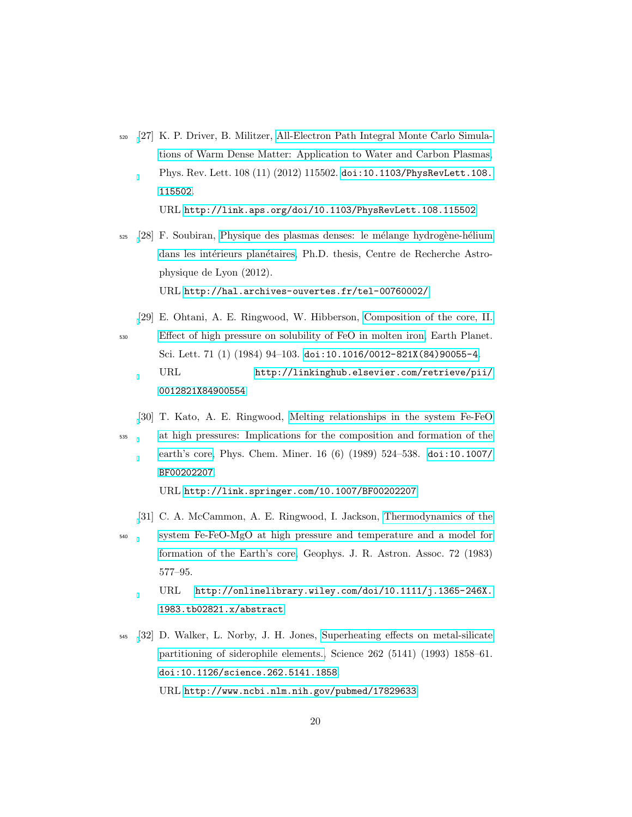<span id="page-19-0"></span><sup>520</sup> [\[](http://link.aps.org/doi/10.1103/PhysRevLett.108.115502)27] K. P. Driver, B. Militzer, [All-Electron Path Integral Monte Carlo Simula](http://link.aps.org/doi/10.1103/PhysRevLett.108.115502)[tions of Warm Dense Matter: Application to Water and Carbon Plasmas,](http://link.aps.org/doi/10.1103/PhysRevLett.108.115502) Phys. Rev. Lett. 108 (11) (2012) 115502. [doi:10.1103/PhysRevLett.108.](http://dx.doi.org/10.1103/PhysRevLett.108.115502) [115502](http://dx.doi.org/10.1103/PhysRevLett.108.115502).

URL <http://link.aps.org/doi/10.1103/PhysRevLett.108.115502>

- <span id="page-19-1"></span>525 [\[](http://hal.archives-ouvertes.fr/tel-00760002/)28] F. Soubiran, Physique des plasmas denses: le mélange hydrogène-hélium dans les intérieurs planétaires, Ph.D. thesis, Centre de Recherche Astrophysique de Lyon (2012). URL <http://hal.archives-ouvertes.fr/tel-00760002/>
- <span id="page-19-2"></span>[\[](http://linkinghub.elsevier.com/retrieve/pii/0012821X84900554)29] E. Ohtani, A. E. Ringwood, W. Hibberson, [Composition of the core, II.](http://linkinghub.elsevier.com/retrieve/pii/0012821X84900554) <sup>530</sup> [Effect of high pressure on solubility of FeO in molten iron,](http://linkinghub.elsevier.com/retrieve/pii/0012821X84900554) Earth Planet. Sci. Lett. 71 (1) (1984) 94–103. [doi:10.1016/0012-821X\(84\)90055-4](http://dx.doi.org/10.1016/0012-821X(84)90055-4). URL [http://linkinghub.elsevier.com/retrieve/pii/](http://linkinghub.elsevier.com/retrieve/pii/0012821X84900554) [0012821X84900554](http://linkinghub.elsevier.com/retrieve/pii/0012821X84900554)
- <span id="page-19-3"></span>[\[](http://link.springer.com/10.1007/BF00202207)30] T. Kato, A. E. Ringwood, [Melting relationships in the system Fe-FeO](http://link.springer.com/10.1007/BF00202207) <sup>535</sup> [at high pressures: Implications for the composition and formation of the](http://link.springer.com/10.1007/BF00202207) [earth's core,](http://link.springer.com/10.1007/BF00202207) Phys. Chem. Miner. 16 (6) (1989) 524–538. [doi:10.1007/](http://dx.doi.org/10.1007/BF00202207) [BF00202207](http://dx.doi.org/10.1007/BF00202207).

URL <http://link.springer.com/10.1007/BF00202207>

- <span id="page-19-4"></span>[\[](http://onlinelibrary.wiley.com/doi/10.1111/j.1365-246X.1983.tb02821.x/abstract)31] C. A. McCammon, A. E. Ringwood, I. Jackson, [Thermodynamics of the](http://onlinelibrary.wiley.com/doi/10.1111/j.1365-246X.1983.tb02821.x/abstract)
- <sup>540</sup> [system Fe-FeO-MgO at high pressure and temperature and a model for](http://onlinelibrary.wiley.com/doi/10.1111/j.1365-246X.1983.tb02821.x/abstract) [formation of the Earth's core,](http://onlinelibrary.wiley.com/doi/10.1111/j.1365-246X.1983.tb02821.x/abstract) Geophys. J. R. Astron. Assoc. 72 (1983) 577–95. URL [http://onlinelibrary.wiley.com/doi/10.1111/j.1365-246X.](http://onlinelibrary.wiley.com/doi/10.1111/j.1365-246X.1983.tb02821.x/abstract)

[1983.tb02821.x/abstract](http://onlinelibrary.wiley.com/doi/10.1111/j.1365-246X.1983.tb02821.x/abstract)

<span id="page-19-5"></span><sup>545</sup> [\[](http://www.ncbi.nlm.nih.gov/pubmed/17829633)32] D. Walker, L. Norby, J. H. Jones, [Superheating effects on metal-silicate](http://www.ncbi.nlm.nih.gov/pubmed/17829633) [partitioning of siderophile elements.,](http://www.ncbi.nlm.nih.gov/pubmed/17829633) Science 262 (5141) (1993) 1858–61. [doi:10.1126/science.262.5141.1858](http://dx.doi.org/10.1126/science.262.5141.1858). URL <http://www.ncbi.nlm.nih.gov/pubmed/17829633>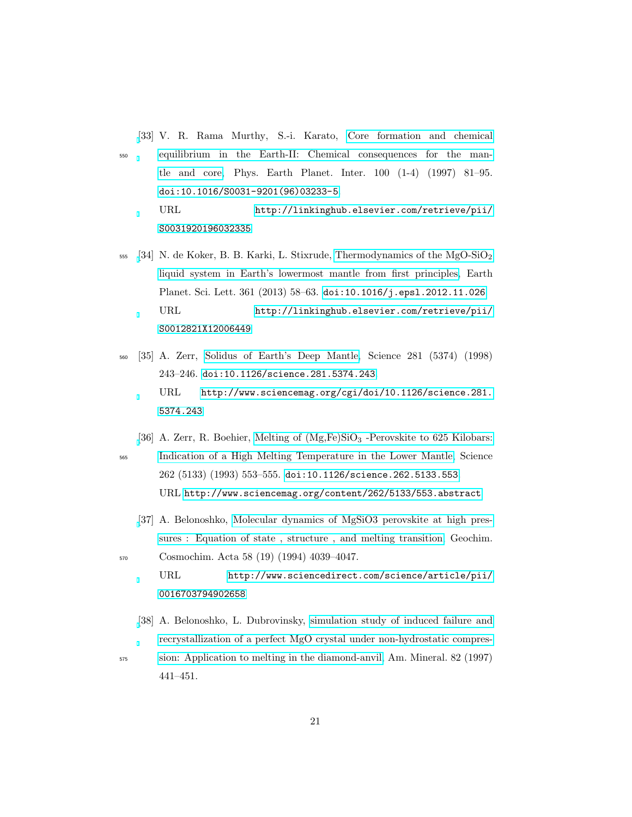<span id="page-20-0"></span>[\[](http://linkinghub.elsevier.com/retrieve/pii/S0031920196032335)33] V. R. Rama Murthy, S.-i. Karato, [Core formation and chemical](http://linkinghub.elsevier.com/retrieve/pii/S0031920196032335)

<sup>550</sup> [equilibrium in the Earth-II: Chemical consequences for the man](http://linkinghub.elsevier.com/retrieve/pii/S0031920196032335)[tle and core,](http://linkinghub.elsevier.com/retrieve/pii/S0031920196032335) Phys. Earth Planet. Inter. 100 (1-4) (1997) 81–95. [doi:10.1016/S0031-9201\(96\)03233-5](http://dx.doi.org/10.1016/S0031-9201(96)03233-5). URL [http://linkinghub.elsevier.com/retrieve/pii/](http://linkinghub.elsevier.com/retrieve/pii/S0031920196032335)

[S0031920196032335](http://linkinghub.elsevier.com/retrieve/pii/S0031920196032335)

- <span id="page-20-1"></span> $555$  [\[](http://linkinghub.elsevier.com/retrieve/pii/S0012821X12006449)34] N. de Koker, B. B. Karki, L. Stixrude, [Thermodynamics of the MgO-SiO](http://linkinghub.elsevier.com/retrieve/pii/S0012821X12006449)<sub>2</sub> [liquid system in Earth's lowermost mantle from first principles,](http://linkinghub.elsevier.com/retrieve/pii/S0012821X12006449) Earth Planet. Sci. Lett. 361 (2013) 58–63. [doi:10.1016/j.epsl.2012.11.026](http://dx.doi.org/10.1016/j.epsl.2012.11.026). URL [http://linkinghub.elsevier.com/retrieve/pii/](http://linkinghub.elsevier.com/retrieve/pii/S0012821X12006449) [S0012821X12006449](http://linkinghub.elsevier.com/retrieve/pii/S0012821X12006449)
- <span id="page-20-2"></span><sup>560</sup> [35] A. Zerr, [Solidus of Earth's Deep Mantle,](http://www.sciencemag.org/cgi/doi/10.1126/science.281.5374.243) Science 281 (5374) (1998) 243–246. [doi:10.1126/science.281.5374.243](http://dx.doi.org/10.1126/science.281.5374.243). URL [http://www.sciencemag.org/cgi/doi/10.1126/science.281.](http://www.sciencemag.org/cgi/doi/10.1126/science.281.5374.243) [5374.243](http://www.sciencemag.org/cgi/doi/10.1126/science.281.5374.243)
- <span id="page-20-3"></span>[\[](http://www.sciencemag.org/content/262/5133/553.abstract)36] A. Zerr, R. Boehier, Melting of  $(Mg, Fe)SiO<sub>3</sub>$  [-Perovskite to 625 Kilobars:](http://www.sciencemag.org/content/262/5133/553.abstract) <sup>565</sup> [Indication of a High Melting Temperature in the Lower Mantle,](http://www.sciencemag.org/content/262/5133/553.abstract) Science 262 (5133) (1993) 553–555. [doi:10.1126/science.262.5133.553](http://dx.doi.org/10.1126/science.262.5133.553). URL <http://www.sciencemag.org/content/262/5133/553.abstract>
- <span id="page-20-4"></span>[\[](http://www.sciencedirect.com/science/article/pii/0016703794902658)37] A. Belonoshko, [Molecular dynamics of MgSiO3 perovskite at high pres](http://www.sciencedirect.com/science/article/pii/0016703794902658)[sures : Equation of state , structure , and melting transition,](http://www.sciencedirect.com/science/article/pii/0016703794902658) Geochim. <sup>570</sup> Cosmochim. Acta 58 (19) (1994) 4039–4047.

URL [http://www.sciencedirect.com/science/article/pii/](http://www.sciencedirect.com/science/article/pii/0016703794902658) [0016703794902658](http://www.sciencedirect.com/science/article/pii/0016703794902658)

- <span id="page-20-5"></span>[\[](http://www.minsocam.org/MSA/amMin/TOC/Articles_Free/1997/Belonoshko_p441-451_97.pdf)38] A. Belonoshko, L. Dubrovinsky, [simulation study of induced failure and](http://www.minsocam.org/MSA/amMin/TOC/Articles_Free/1997/Belonoshko_p441-451_97.pdf) [recrystallization of a perfect MgO crystal under non-hydrostatic compres-](http://www.minsocam.org/MSA/amMin/TOC/Articles_Free/1997/Belonoshko_p441-451_97.pdf)<sup>575</sup> [sion: Application to melting in the diamond-anvil,](http://www.minsocam.org/MSA/amMin/TOC/Articles_Free/1997/Belonoshko_p441-451_97.pdf) Am. Mineral. 82 (1997)
	-

441–451.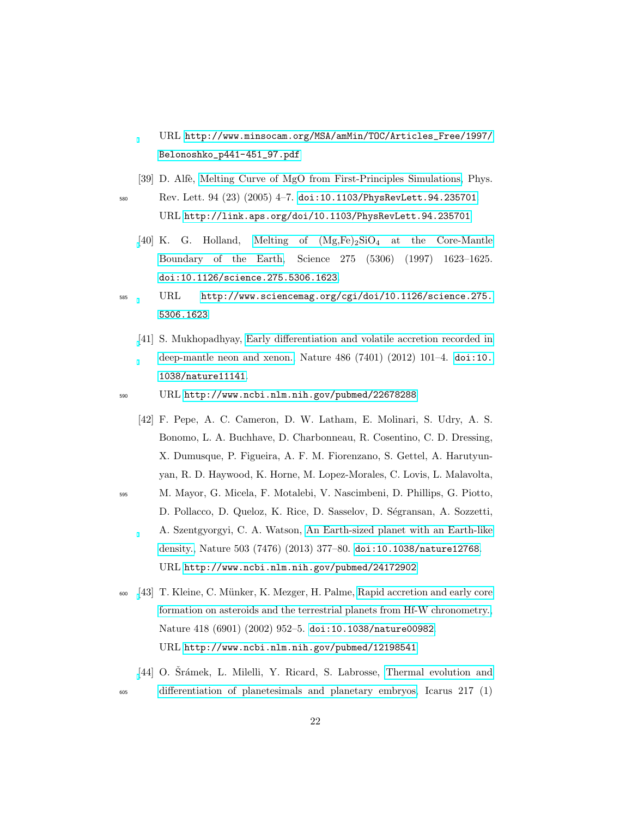URL [http://www.minsocam.org/MSA/amMin/TOC/Articles\\_Free/1997/](http://www.minsocam.org/MSA/amMin/TOC/Articles_Free/1997/Belonoshko_p441-451_97.pdf) [Belonoshko\\_p441-451\\_97.pdf](http://www.minsocam.org/MSA/amMin/TOC/Articles_Free/1997/Belonoshko_p441-451_97.pdf)

<span id="page-21-0"></span>[39] D. Alfè, [Melting Curve of MgO from First-Principles Simulations,](http://link.aps.org/doi/10.1103/PhysRevLett.94.235701) Phys.

<sup>580</sup> Rev. Lett. 94 (23) (2005) 4–7. [doi:10.1103/PhysRevLett.94.235701](http://dx.doi.org/10.1103/PhysRevLett.94.235701). URL <http://link.aps.org/doi/10.1103/PhysRevLett.94.235701>

- <span id="page-21-1"></span>[\[](http://www.sciencemag.org/cgi/doi/10.1126/science.275.5306.1623)40] K. G. Holland, Melting of  $(Mg,Fe)_2SiO_4$  at the Core-Mantle [Boundary of the Earth,](http://www.sciencemag.org/cgi/doi/10.1126/science.275.5306.1623) Science 275 (5306) (1997) 1623–1625. [doi:10.1126/science.275.5306.1623](http://dx.doi.org/10.1126/science.275.5306.1623).
- <span id="page-21-2"></span><sup>585</sup> URL [http://www.sciencemag.org/cgi/doi/10.1126/science.275.](http://www.sciencemag.org/cgi/doi/10.1126/science.275.5306.1623) [5306.1623](http://www.sciencemag.org/cgi/doi/10.1126/science.275.5306.1623)
	- [\[](http://www.ncbi.nlm.nih.gov/pubmed/22678288)41] S. Mukhopadhyay, [Early differentiation and volatile accretion recorded in](http://www.ncbi.nlm.nih.gov/pubmed/22678288) [deep-mantle neon and xenon.,](http://www.ncbi.nlm.nih.gov/pubmed/22678288) Nature 486 (7401) (2012) 101–4. [doi:10.](http://dx.doi.org/10.1038/nature11141) [1038/nature11141](http://dx.doi.org/10.1038/nature11141).
- <span id="page-21-3"></span><sup>590</sup> URL <http://www.ncbi.nlm.nih.gov/pubmed/22678288>
	- [42] F. Pepe, A. C. Cameron, D. W. Latham, E. Molinari, S. Udry, A. S. Bonomo, L. A. Buchhave, D. Charbonneau, R. Cosentino, C. D. Dressing, X. Dumusque, P. Figueira, A. F. M. Fiorenzano, S. Gettel, A. Harutyunyan, R. D. Haywood, K. Horne, M. Lopez-Morales, C. Lovis, L. Malavolta,
- <sup>595</sup> M. Mayor, G. Micela, F. Motalebi, V. Nascimbeni, D. Phillips, G. Piotto, D. Pollacco, D. Queloz, K. Rice, D. Sasselov, D. Ségransan, A. Sozzetti, A. Szentgyorgyi, C. A. Watson, [An Earth-sized planet with an Earth-like](http://www.ncbi.nlm.nih.gov/pubmed/24172902) [density.,](http://www.ncbi.nlm.nih.gov/pubmed/24172902) Nature 503 (7476) (2013) 377–80. [doi:10.1038/nature12768](http://dx.doi.org/10.1038/nature12768). URL <http://www.ncbi.nlm.nih.gov/pubmed/24172902>
- <span id="page-21-4"></span><sup>600</sup> [\[](http://www.ncbi.nlm.nih.gov/pubmed/12198541)43] T. Kleine, C. M¨unker, K. Mezger, H. Palme, [Rapid accretion and early core](http://www.ncbi.nlm.nih.gov/pubmed/12198541) [formation on asteroids and the terrestrial planets from Hf-W chronometry.,](http://www.ncbi.nlm.nih.gov/pubmed/12198541) Nature 418 (6901) (2002) 952–5. [doi:10.1038/nature00982](http://dx.doi.org/10.1038/nature00982). URL <http://www.ncbi.nlm.nih.gov/pubmed/12198541>
- <span id="page-21-5"></span>[\[](http://linkinghub.elsevier.com/retrieve/pii/S0019103511004489)44] O. Srámek, L. Milelli, Y. Ricard, S. Labrosse, [Thermal evolution and](http://linkinghub.elsevier.com/retrieve/pii/S0019103511004489) <sup>605</sup> [differentiation of planetesimals and planetary embryos,](http://linkinghub.elsevier.com/retrieve/pii/S0019103511004489) Icarus 217 (1)

22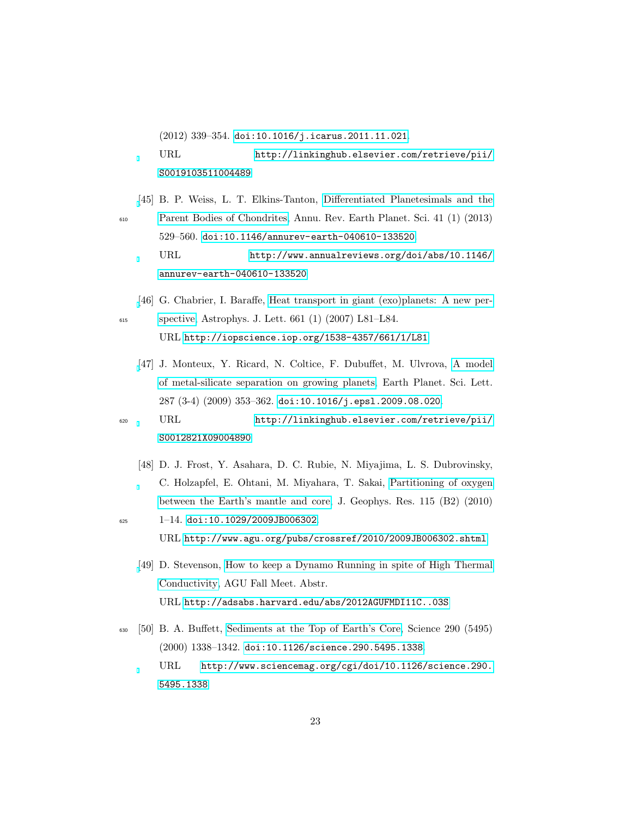(2012) 339–354. [doi:10.1016/j.icarus.2011.11.021](http://dx.doi.org/10.1016/j.icarus.2011.11.021). URL [http://linkinghub.elsevier.com/retrieve/pii/](http://linkinghub.elsevier.com/retrieve/pii/S0019103511004489) [S0019103511004489](http://linkinghub.elsevier.com/retrieve/pii/S0019103511004489)

- <span id="page-22-0"></span>[\[](http://www.annualreviews.org/doi/abs/10.1146/annurev-earth-040610-133520)45] B. P. Weiss, L. T. Elkins-Tanton, [Differentiated Planetesimals and the](http://www.annualreviews.org/doi/abs/10.1146/annurev-earth-040610-133520) <sup>610</sup> [Parent Bodies of Chondrites,](http://www.annualreviews.org/doi/abs/10.1146/annurev-earth-040610-133520) Annu. Rev. Earth Planet. Sci. 41 (1) (2013) 529–560. [doi:10.1146/annurev-earth-040610-133520](http://dx.doi.org/10.1146/annurev-earth-040610-133520). URL [http://www.annualreviews.org/doi/abs/10.1146/](http://www.annualreviews.org/doi/abs/10.1146/annurev-earth-040610-133520) [annurev-earth-040610-133520](http://www.annualreviews.org/doi/abs/10.1146/annurev-earth-040610-133520)
- <span id="page-22-2"></span><span id="page-22-1"></span>[\[](http://iopscience.iop.org/1538-4357/661/1/L81)46] G. Chabrier, I. Baraffe, [Heat transport in giant \(exo\)planets: A new per-](http://iopscience.iop.org/1538-4357/661/1/L81)<sup>615</sup> [spective,](http://iopscience.iop.org/1538-4357/661/1/L81) Astrophys. J. Lett. 661 (1) (2007) L81–L84. URL <http://iopscience.iop.org/1538-4357/661/1/L81>
	- [\[](http://linkinghub.elsevier.com/retrieve/pii/S0012821X09004890)47] J. Monteux, Y. Ricard, N. Coltice, F. Dubuffet, M. Ulvrova, [A model](http://linkinghub.elsevier.com/retrieve/pii/S0012821X09004890) [of metal-silicate separation on growing planets,](http://linkinghub.elsevier.com/retrieve/pii/S0012821X09004890) Earth Planet. Sci. Lett. 287 (3-4) (2009) 353–362. [doi:10.1016/j.epsl.2009.08.020](http://dx.doi.org/10.1016/j.epsl.2009.08.020).
- <span id="page-22-3"></span><sup>620</sup> URL [http://linkinghub.elsevier.com/retrieve/pii/](http://linkinghub.elsevier.com/retrieve/pii/S0012821X09004890) [S0012821X09004890](http://linkinghub.elsevier.com/retrieve/pii/S0012821X09004890)
	- [48] D. J. Frost, Y. Asahara, D. C. Rubie, N. Miyajima, L. S. Dubrovinsky, C. Holzapfel, E. Ohtani, M. Miyahara, T. Sakai, [Partitioning of oxygen](http://www.agu.org/pubs/crossref/2010/2009JB006302.shtml) [between the Earth's mantle and core,](http://www.agu.org/pubs/crossref/2010/2009JB006302.shtml) J. Geophys. Res. 115 (B2) (2010)
- <span id="page-22-4"></span> $_{625}$  1–14. [doi:10.1029/2009JB006302](http://dx.doi.org/10.1029/2009JB006302). URL <http://www.agu.org/pubs/crossref/2010/2009JB006302.shtml>
	- [\[](http://adsabs.harvard.edu/abs/2012AGUFMDI11C..03S)49] D. Stevenson, [How to keep a Dynamo Running in spite of High Thermal](http://adsabs.harvard.edu/abs/2012AGUFMDI11C..03S) [Conductivity,](http://adsabs.harvard.edu/abs/2012AGUFMDI11C..03S) AGU Fall Meet. Abstr. URL <http://adsabs.harvard.edu/abs/2012AGUFMDI11C..03S>
- <span id="page-22-5"></span><sup>630</sup> [50] B. A. Buffett, [Sediments at the Top of Earth's Core,](http://www.sciencemag.org/cgi/doi/10.1126/science.290.5495.1338) Science 290 (5495) (2000) 1338–1342. [doi:10.1126/science.290.5495.1338](http://dx.doi.org/10.1126/science.290.5495.1338). URL [http://www.sciencemag.org/cgi/doi/10.1126/science.290.](http://www.sciencemag.org/cgi/doi/10.1126/science.290.5495.1338) [5495.1338](http://www.sciencemag.org/cgi/doi/10.1126/science.290.5495.1338)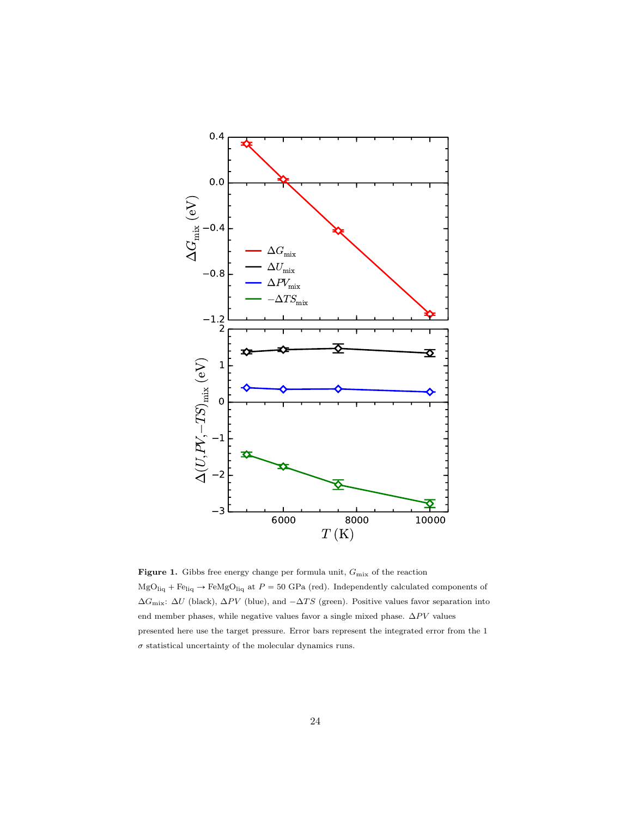<span id="page-23-0"></span>

Figure 1. Gibbs free energy change per formula unit,  $G_{\rm mix}$  of the reaction  ${\rm MgO_{liq}}$  +  ${\rm Fe_{liq}}$   $\rightarrow$   ${\rm FeMgO_{liq}}$  at  $P = 50$  GPa (red). Independently calculated components of  $\Delta G_{\text{mix}}$ :  $\Delta U$  (black),  $\Delta PV$  (blue), and  $-\Delta TS$  (green). Positive values favor separation into end member phases, while negative values favor a single mixed phase.  $\Delta PV$  values presented here use the target pressure. Error bars represent the integrated error from the 1  $\sigma$  statistical uncertainty of the molecular dynamics runs.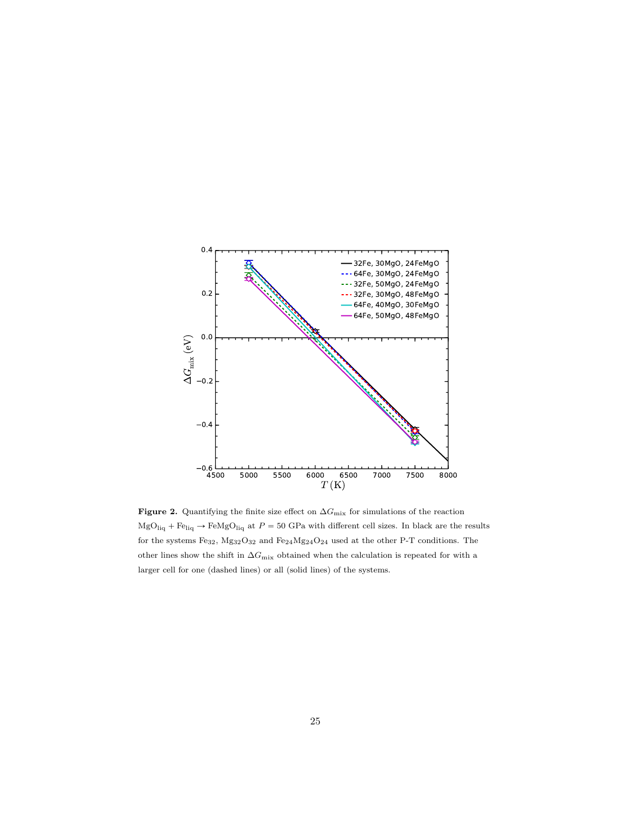<span id="page-24-0"></span>

Figure 2. Quantifying the finite size effect on  $\Delta G_{\rm mix}$  for simulations of the reaction  ${\rm MgO_{liq}}$  +  ${\rm Fe_{liq}}$   $\rightarrow$   ${\rm FeMgO_{liq}}$  at  $P = 50$  GPa with different cell sizes. In black are the results for the systems  $Fe_{32}$ ,  $Mg_{32}O_{32}$  and  $Fe_{24}Mg_{24}O_{24}$  used at the other P-T conditions. The other lines show the shift in  $\Delta G_\text{mix}$  obtained when the calculation is repeated for with a larger cell for one (dashed lines) or all (solid lines) of the systems.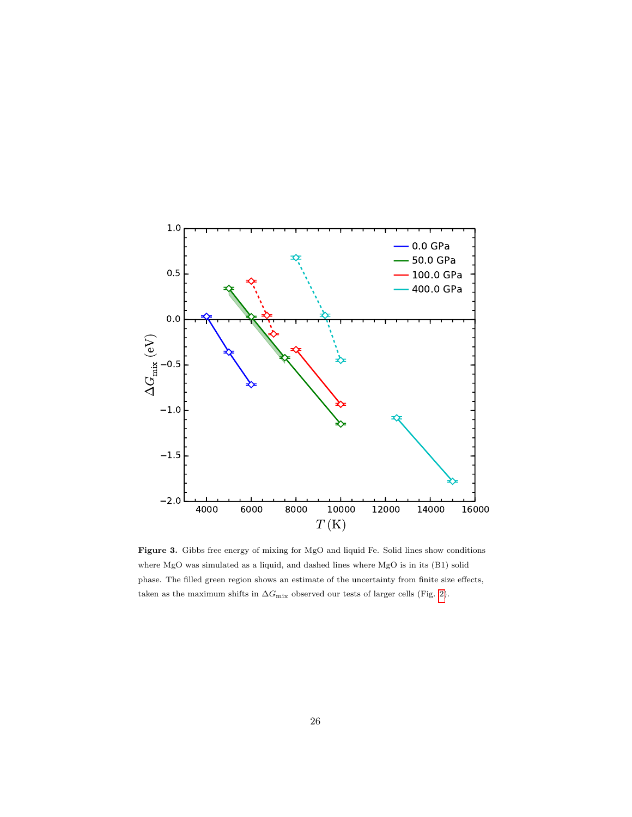<span id="page-25-0"></span>

Figure 3. Gibbs free energy of mixing for MgO and liquid Fe. Solid lines show conditions where MgO was simulated as a liquid, and dashed lines where MgO is in its (B1) solid phase. The filled green region shows an estimate of the uncertainty from finite size effects, taken as the maximum shifts in  $\Delta G_\mathrm{mix}$  observed our tests of larger cells (Fig. [2\)](#page-24-0).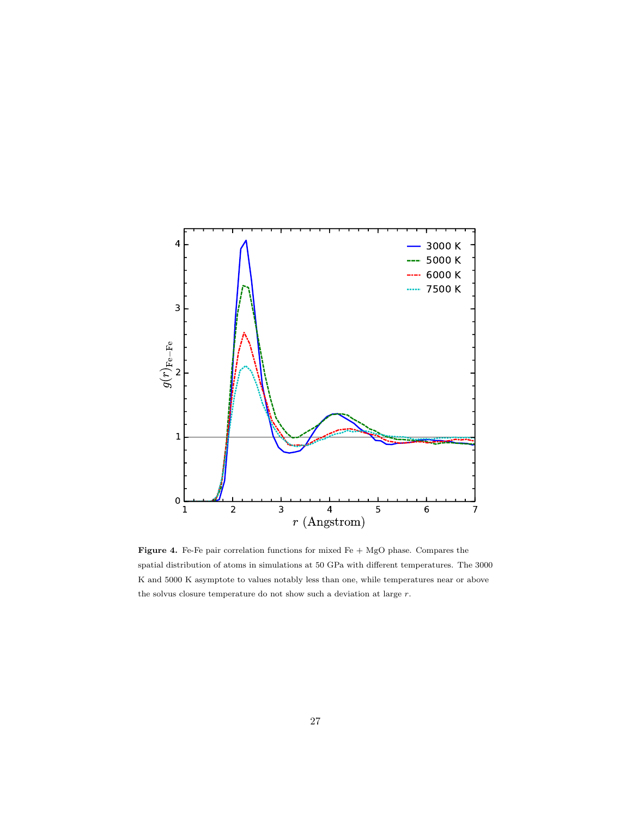<span id="page-26-0"></span>

Figure 4. Fe-Fe pair correlation functions for mixed Fe + MgO phase. Compares the spatial distribution of atoms in simulations at 50 GPa with different temperatures. The 3000 K and 5000 K asymptote to values notably less than one, while temperatures near or above the solvus closure temperature do not show such a deviation at large  $r.$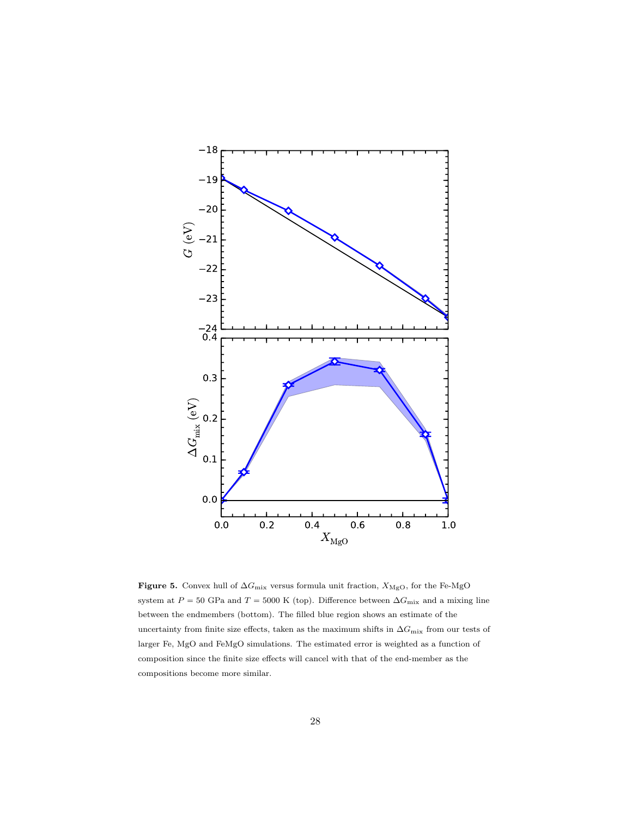<span id="page-27-0"></span>

Figure 5. Convex hull of  $\Delta G_\text{mix}$  versus formula unit fraction,  $X_\text{MgO},$  for the Fe-MgO system at  $P = 50$  GPa and  $T = 5000$  K (top). Difference between  $\Delta G_{\text{mix}}$  and a mixing line between the endmembers (bottom). The filled blue region shows an estimate of the uncertainty from finite size effects, taken as the maximum shifts in  $\Delta G_\text{mix}$  from our tests of larger Fe, MgO and FeMgO simulations. The estimated error is weighted as a function of composition since the finite size effects will cancel with that of the end-member as the compositions become more similar.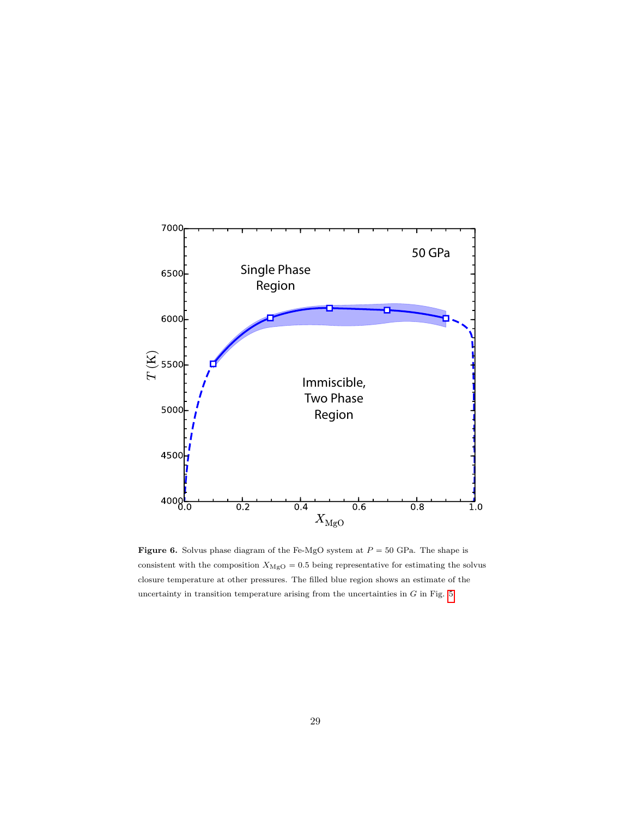<span id="page-28-0"></span>

Figure 6. Solvus phase diagram of the Fe-MgO system at  $P = 50$  GPa. The shape is consistent with the composition  $X_{\rm{MgO}}=0.5$  being representative for estimating the solvus closure temperature at other pressures. The filled blue region shows an estimate of the uncertainty in transition temperature arising from the uncertainties in  $G$  in Fig. [5.](#page-27-0)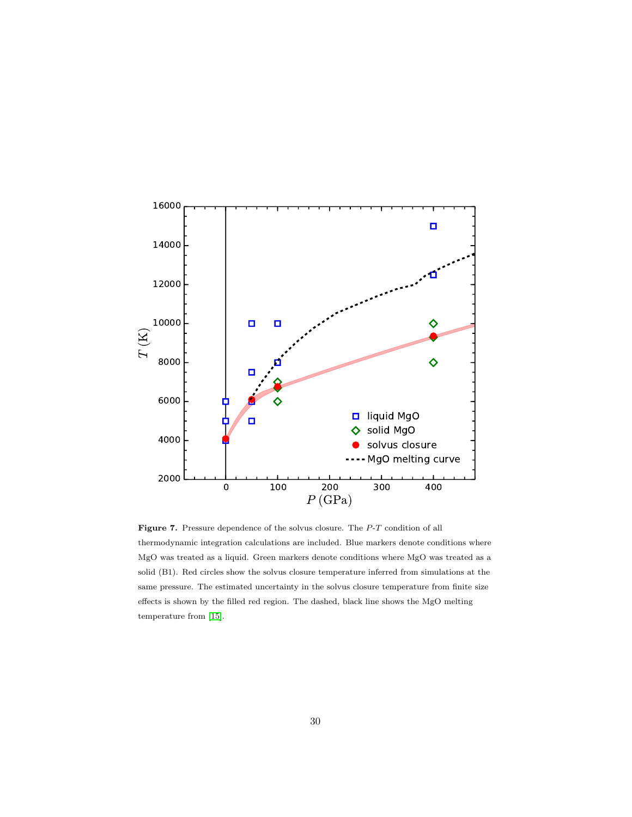<span id="page-29-0"></span>

Figure 7. Pressure dependence of the solvus closure. The  $P$ -T condition of all thermodynamic integration calculations are included. Blue markers denote conditions where MgO was treated as a liquid. Green markers denote conditions where MgO was treated as a solid (B1). Red circles show the solvus closure temperature inferred from simulations at the same pressure. The estimated uncertainty in the solvus closure temperature from finite size effects is shown by the filled red region. The dashed, black line shows the MgO melting temperature from [\[15\]](#page-17-1).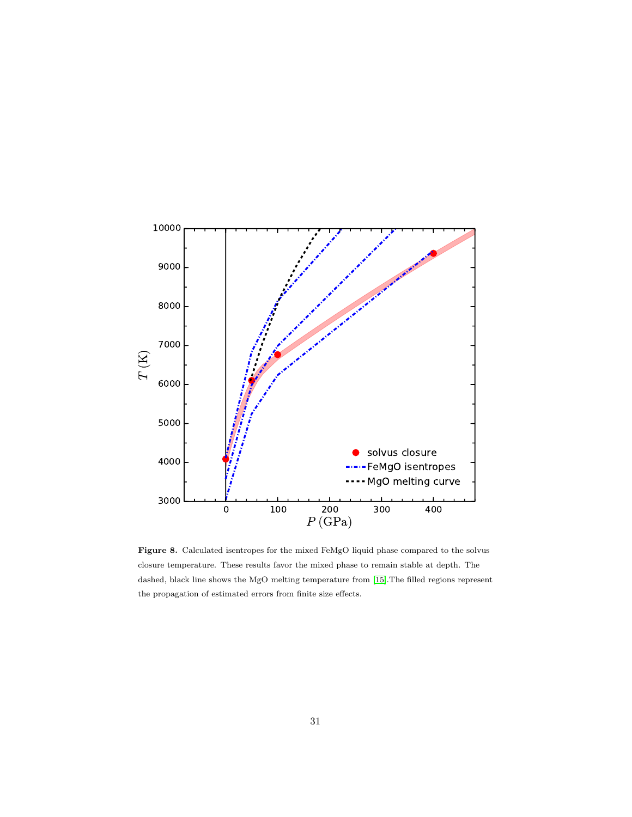<span id="page-30-0"></span>

Figure 8. Calculated isentropes for the mixed FeMgO liquid phase compared to the solvus closure temperature. These results favor the mixed phase to remain stable at depth. The dashed, black line shows the MgO melting temperature from [\[15\]](#page-17-1).The filled regions represent the propagation of estimated errors from finite size effects.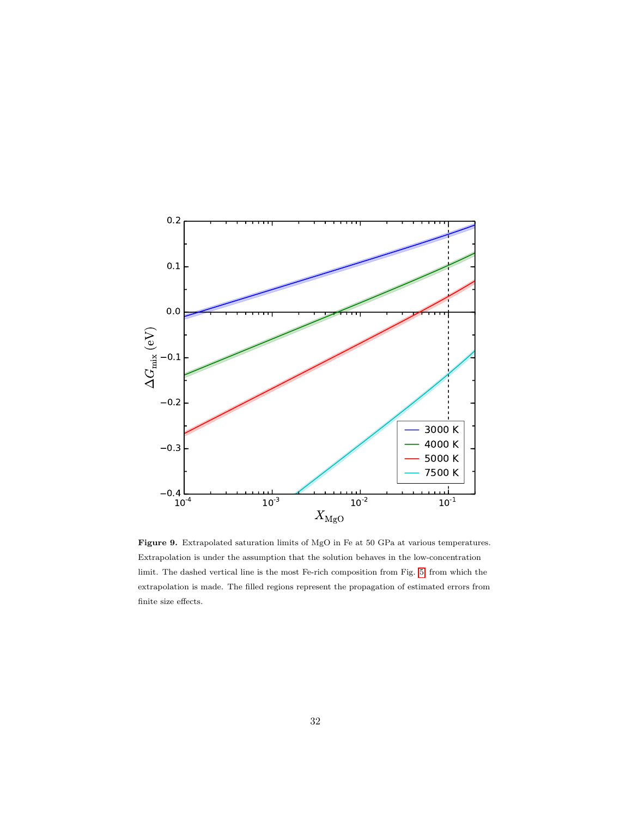<span id="page-31-0"></span>

Figure 9. Extrapolated saturation limits of MgO in Fe at 50 GPa at various temperatures. Extrapolation is under the assumption that the solution behaves in the low-concentration limit. The dashed vertical line is the most Fe-rich composition from Fig. [5,](#page-27-0) from which the extrapolation is made. The filled regions represent the propagation of estimated errors from finite size effects.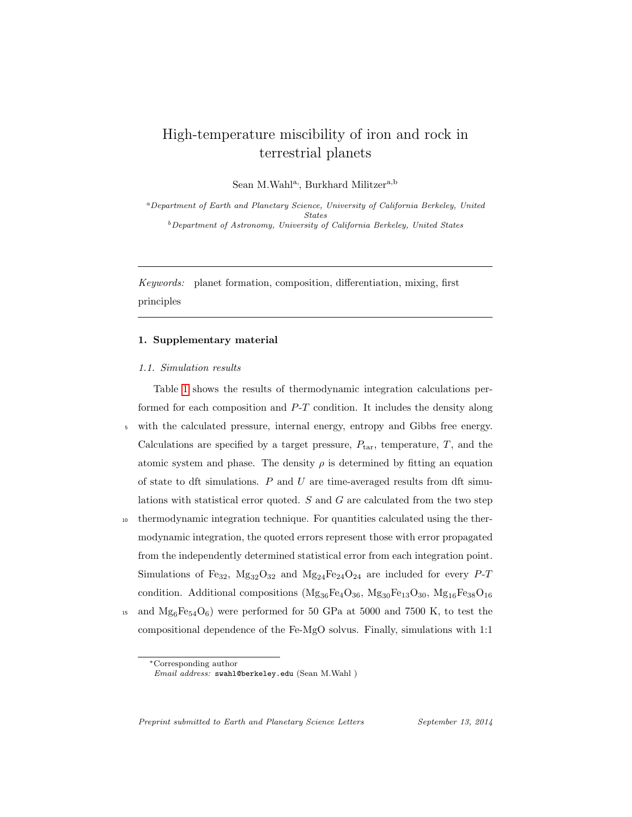# High-temperature miscibility of iron and rock in terrestrial planets

Sean M.Wahl<sup>a,</sup>, Burkhard Militzer<sup>a,b</sup>

<sup>a</sup>Department of Earth and Planetary Science, University of California Berkeley, United States <sup>b</sup>Department of Astronomy, University of California Berkeley, United States

Keywords: planet formation, composition, differentiation, mixing, first principles

# 1. Supplementary material

### 1.1. Simulation results

Table [1](#page-34-0) shows the results of thermodynamic integration calculations performed for each composition and  $P-T$  condition. It includes the density along <sup>5</sup> with the calculated pressure, internal energy, entropy and Gibbs free energy. Calculations are specified by a target pressure,  $P_{\text{tar}}$ , temperature,  $T$ , and the atomic system and phase. The density  $\rho$  is determined by fitting an equation of state to dft simulations.  $P$  and  $U$  are time-averaged results from dft simulations with statistical error quoted. S and G are calculated from the two step <sup>10</sup> thermodynamic integration technique. For quantities calculated using the thermodynamic integration, the quoted errors represent those with error propagated from the independently determined statistical error from each integration point.

Simulations of Fe<sub>32</sub>,  $Mg_{32}O_{32}$  and  $Mg_{24}Fe_{24}O_{24}$  are included for every P-T condition. Additional compositions ( $Mg_{36}Fe_4O_{36}$ ,  $Mg_{30}Fe_{13}O_{30}$ ,  $Mg_{16}Fe_{38}O_{16}$ 

<sup>15</sup> and  $Mg_6Fe_{54}O_6$ ) were performed for 50 GPa at 5000 and 7500 K, to test the compositional dependence of the Fe-MgO solvus. Finally, simulations with 1:1

Preprint submitted to Earth and Planetary Science Letters September 13, 2014

<sup>∗</sup>Corresponding author

Email address: swahl@berkeley.edu (Sean M.Wahl )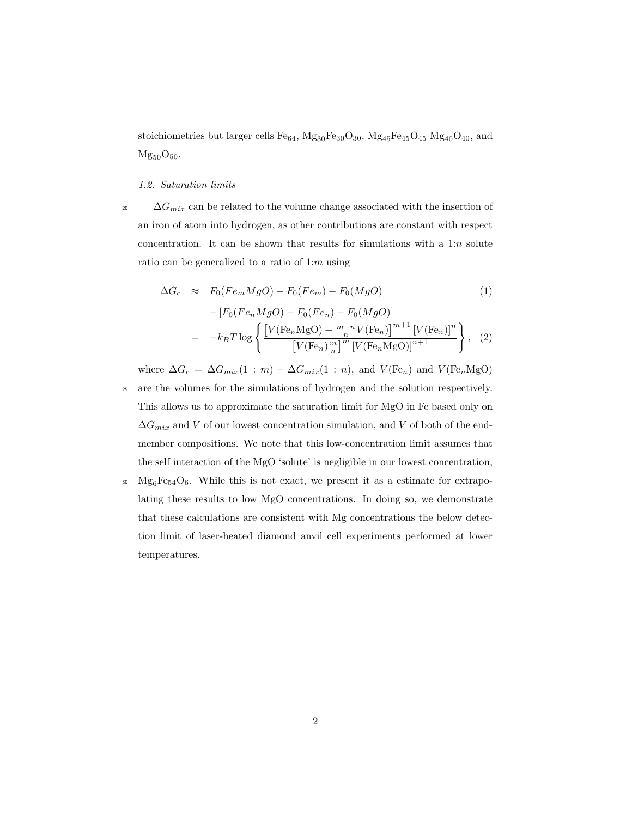stoichiometries but larger cells  $Fe_{64}$ ,  $Mg_{30}Fe_{30}O_{30}$ ,  $Mg_{45}Fe_{45}O_{45}$   $Mg_{40}O_{40}$ , and  $Mg_{50}O_{50}$ .

#### 1.2. Saturation limits

<sup>20</sup>  $\Delta G_{mix}$  can be related to the volume change associated with the insertion of an iron of atom into hydrogen, as other contributions are constant with respect concentration. It can be shown that results for simulations with a  $1:n$  solute ratio can be generalized to a ratio of  $1:m$  using

$$
\Delta G_c \approx F_0(Fe_m MgO) - F_0(Fe_m) - F_0(MgO)
$$
(1)  

$$
-[F_0(Fe_n MgO) - F_0(Fe_n) - F_0(MgO)]
$$

$$
= -k_B T \log \left\{ \frac{[V(Fe_n MgO) + \frac{m-n}{n} V(Fe_n)]^{m+1} [V(Fe_n)]^n}{[V(Fe_n) \frac{m}{n}]^m [V(Fe_n MgO)]^{n+1}} \right\},
$$
(2)

where  $\Delta G_c = \Delta G_{mix}(1:m) - \Delta G_{mix}(1:n)$ , and  $V(\text{Fe}_n)$  and  $V(\text{Fe}_n\text{MgO})$ 

- <sup>25</sup> are the volumes for the simulations of hydrogen and the solution respectively. This allows us to approximate the saturation limit for MgO in Fe based only on  $\Delta G_{mix}$  and V of our lowest concentration simulation, and V of both of the endmember compositions. We note that this low-concentration limit assumes that the self interaction of the MgO 'solute' is negligible in our lowest concentration,
- $^{30}$  Mg<sub>6</sub>Fe<sub>54</sub>O<sub>6</sub>. While this is not exact, we present it as a estimate for extrapolating these results to low MgO concentrations. In doing so, we demonstrate that these calculations are consistent with Mg concentrations the below detection limit of laser-heated diamond anvil cell experiments performed at lower temperatures.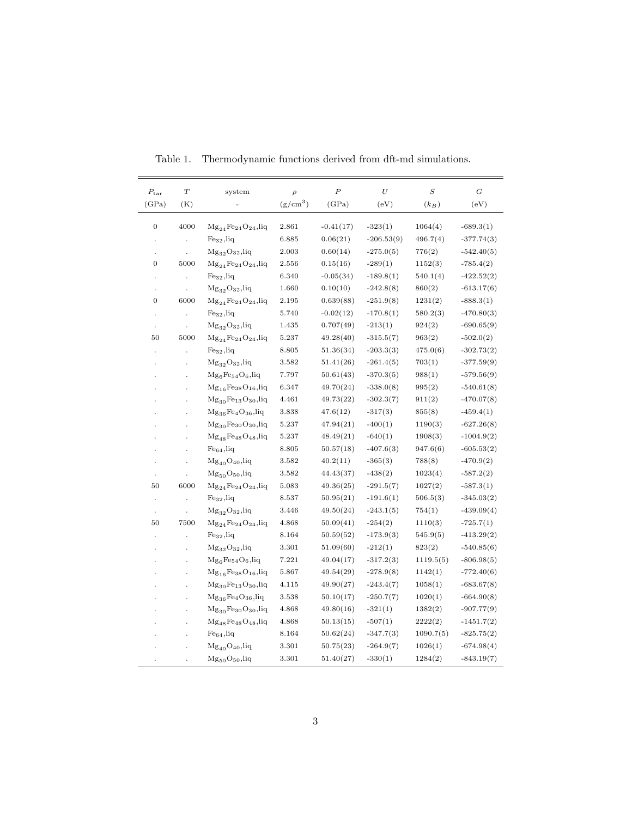| $P_{\rm tar}$        | $\boldsymbol{T}$ | system                             | $\rho$     | $\boldsymbol{P}$ | $\cal U$     | $\boldsymbol{S}$ | $\overline{G}$ |
|----------------------|------------------|------------------------------------|------------|------------------|--------------|------------------|----------------|
| (GPa)                | (K)              |                                    | $(g/cm^3)$ | (GPa)            | (eV)         | $(k_B)$          | (eV)           |
|                      |                  |                                    |            |                  |              |                  |                |
| $\boldsymbol{0}$     | 4000             | $Mg_{24}Fe_{24}O_{24}$ , liq       | 2.861      | $-0.41(17)$      | $-323(1)$    | 1064(4)          | $-689.3(1)$    |
|                      |                  | Fe <sub>32</sub> ,liq              | 6.885      | 0.06(21)         | $-206.53(9)$ | 496.7(4)         | $-377.74(3)$   |
|                      |                  | $Mg_{32}O_{32}$ , liq              | 2.003      | 0.60(14)         | $-275.0(5)$  | 776(2)           | $-542.40(5)$   |
| $\boldsymbol{0}$     | 5000             | $Mg_{24}Fe_{24}O_{24}$ ,liq        | 2.556      | 0.15(16)         | $-289(1)$    | 1152(3)          | $-785.4(2)$    |
|                      |                  | $Fe32$ , liq                       | 6.340      | $-0.05(34)$      | $-189.8(1)$  | 540.1(4)         | $-422.52(2)$   |
| ÷,                   |                  | $Mg_{32}O_{32}$ , liq              | 1.660      | 0.10(10)         | $-242.8(8)$  | 860(2)           | $-613.17(6)$   |
| $\boldsymbol{0}$     | 6000             | $Mg_{24}Fe_{24}O_{24}$ , liq       | 2.195      | 0.639(88)        | $-251.9(8)$  | 1231(2)          | $-888.3(1)$    |
|                      |                  | $Fe32$ , liq                       | 5.740      | $-0.02(12)$      | $-170.8(1)$  | 580.2(3)         | $-470.80(3)$   |
|                      |                  | ${ {\rm Mg}_{32} \rm O}_{32},$ liq | 1.435      | 0.707(49)        | $-213(1)$    | 924(2)           | $-690.65(9)$   |
| 50                   | 5000             | $Mg_{24}Fe_{24}O_{24}$ ,liq        | 5.237      | 49.28(40)        | $-315.5(7)$  | 963(2)           | $-502.0(2)$    |
| ÷,                   | $\overline{a}$   | Fe <sub>32</sub> ,liq              | 8.805      | 51.36(34)        | $-203.3(3)$  | 475.0(6)         | $-302.73(2)$   |
|                      |                  | $Mg_{32}O_{32}$ , liq              | 3.582      | 51.41(26)        | $-261.4(5)$  | 703(1)           | $-377.59(9)$   |
|                      |                  | $Mg_6Fe_{54}O_6$ , liq             | 7.797      | 50.61(43)        | $-370.3(5)$  | 988(1)           | $-579.56(9)$   |
|                      |                  | $Mg_{16}Fe_{38}O_{16}$ , liq       | 6.347      | 49.70(24)        | $-338.0(8)$  | 995(2)           | $-540.61(8)$   |
|                      |                  | $Mg_{30}Fe_{13}O_{30}$ , liq       | 4.461      | 49.73(22)        | $-302.3(7)$  | 911(2)           | $-470.07(8)$   |
|                      |                  | $Mg_{36}Fe_4O_{36}$ , liq          | 3.838      | 47.6(12)         | $-317(3)$    | 855(8)           | $-459.4(1)$    |
|                      |                  | $Mg_{30}Fe_{30}O_{30}$ , liq       | 5.237      | 47.94(21)        | $-400(1)$    | 1190(3)          | $-627.26(8)$   |
|                      |                  | $Mg_{48}Fe_{48}O_{48}$ , liq       | 5.237      | 48.49(21)        | $-640(1)$    | 1908(3)          | $-1004.9(2)$   |
|                      |                  | $Fe_{64}$ , liq                    | 8.805      | 50.57(18)        | $-407.6(3)$  | 947.6(6)         | $-605.53(2)$   |
|                      |                  | $Mg_{40}O_{40}$ , liq              | 3.582      | 40.2(11)         | $-365(3)$    | 788(8)           | $-470.9(2)$    |
|                      |                  | $Mg_{50}O_{50}$ , liq              | 3.582      | 44.43(37)        | $-438(2)$    | 1023(4)          | $-587.2(2)$    |
| 50                   | 6000             | $Mg_{24}Fe_{24}O_{24}$ ,liq        | 5.083      | 49.36(25)        | $-291.5(7)$  | 1027(2)          | $-587.3(1)$    |
| $\ddot{\phantom{0}}$ | $\overline{a}$   | Fe <sub>32</sub> ,liq              | 8.537      | 50.95(21)        | $-191.6(1)$  | 506.5(3)         | $-345.03(2)$   |
| $\blacksquare$       |                  | $Mg_{32}O_{32}$ , liq              | 3.446      | 49.50(24)        | $-243.1(5)$  | 754(1)           | $-439.09(4)$   |
| 50                   | 7500             | $Mg_{24}Fe_{24}O_{24}$ , liq       | 4.868      | 50.09(41)        | $-254(2)$    | 1110(3)          | $-725.7(1)$    |
|                      |                  | Fe <sub>32</sub> ,liq              | 8.164      | 50.59(52)        | $-173.9(3)$  | 545.9(5)         | $-413.29(2)$   |
|                      |                  | $Mg_{32}O_{32}$ , liq              | 3.301      | 51.09(60)        | $-212(1)$    | 823(2)           | $-540.85(6)$   |
|                      |                  | $Mg_6Fe_{54}O_6$ , liq             | 7.221      | 49.04(17)        | $-317.2(3)$  | 1119.5(5)        | $-806.98(5)$   |
|                      |                  | $Mg_{16}Fe_{38}O_{16}$ , liq       | 5.867      | 49.54(29)        | $-278.9(8)$  | 1142(1)          | $-772.40(6)$   |
|                      |                  | $Mg_{30}Fe_{13}O_{30}$ , liq       | 4.115      | 49.90(27)        | $-243.4(7)$  | 1058(1)          | $-683.67(8)$   |
|                      |                  | $Mg_{36}Fe_4O_{36}$ , liq          | 3.538      | 50.10(17)        | $-250.7(7)$  | 1020(1)          | $-664.90(8)$   |
|                      |                  | $Mg_{30}Fe_{30}O_{30}$ , liq       | 4.868      | 49.80(16)        | $-321(1)$    | 1382(2)          | $-907.77(9)$   |
|                      |                  | $Mg_{48}Fe_{48}O_{48}$ , liq       | 4.868      | 50.13(15)        | $-507(1)$    | 2222(2)          | $-1451.7(2)$   |
|                      |                  | $Fe_{64}$ , liq                    | 8.164      | 50.62(24)        | $-347.7(3)$  | 1090.7(5)        | $-825.75(2)$   |
|                      |                  | $Mg_{40}O_{40}$ , liq              | 3.301      | 50.75(23)        | $-264.9(7)$  | 1026(1)          | $-674.98(4)$   |
|                      |                  | $Mg_{50}O_{50}$ , liq              | 3.301      | 51.40(27)        | $-330(1)$    | 1284(2)          | $-843.19(7)$   |

<span id="page-34-0"></span>Table 1. Thermodynamic functions derived from dft-md simulations.